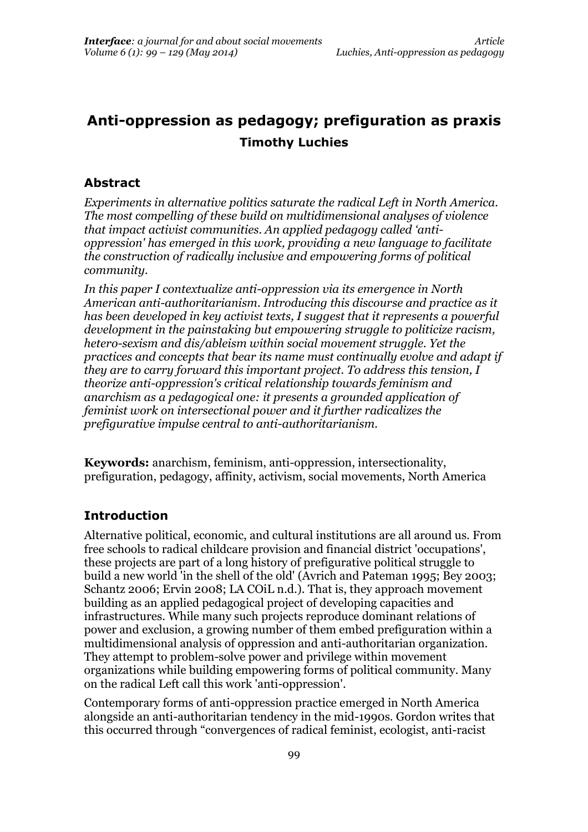# **Anti-oppression as pedagogy; prefiguration as praxis Timothy Luchies**

### **Abstract**

*Experiments in alternative politics saturate the radical Left in North America. The most compelling of these build on multidimensional analyses of violence that impact activist communities. An applied pedagogy called 'antioppression' has emerged in this work, providing a new language to facilitate the construction of radically inclusive and empowering forms of political community.*

*In this paper I contextualize anti-oppression via its emergence in North American anti-authoritarianism. Introducing this discourse and practice as it has been developed in key activist texts, I suggest that it represents a powerful development in the painstaking but empowering struggle to politicize racism, hetero-sexism and dis/ableism within social movement struggle. Yet the practices and concepts that bear its name must continually evolve and adapt if they are to carry forward this important project. To address this tension, I theorize anti-oppression's critical relationship towards feminism and anarchism as a pedagogical one: it presents a grounded application of feminist work on intersectional power and it further radicalizes the prefigurative impulse central to anti-authoritarianism.*

**Keywords:** anarchism, feminism, anti-oppression, intersectionality, prefiguration, pedagogy, affinity, activism, social movements, North America

## **Introduction**

Alternative political, economic, and cultural institutions are all around us. From free schools to radical childcare provision and financial district 'occupations', these projects are part of a long history of prefigurative political struggle to build a new world 'in the shell of the old' (Avrich and Pateman 1995; Bey 2003; Schantz 2006; Ervin 2008; LA COiL n.d.). That is, they approach movement building as an applied pedagogical project of developing capacities and infrastructures. While many such projects reproduce dominant relations of power and exclusion, a growing number of them embed prefiguration within a multidimensional analysis of oppression and anti-authoritarian organization. They attempt to problem-solve power and privilege within movement organizations while building empowering forms of political community. Many on the radical Left call this work 'anti-oppression'.

Contemporary forms of anti-oppression practice emerged in North America alongside an anti-authoritarian tendency in the mid-1990s. Gordon writes that this occurred through "convergences of radical feminist, ecologist, anti-racist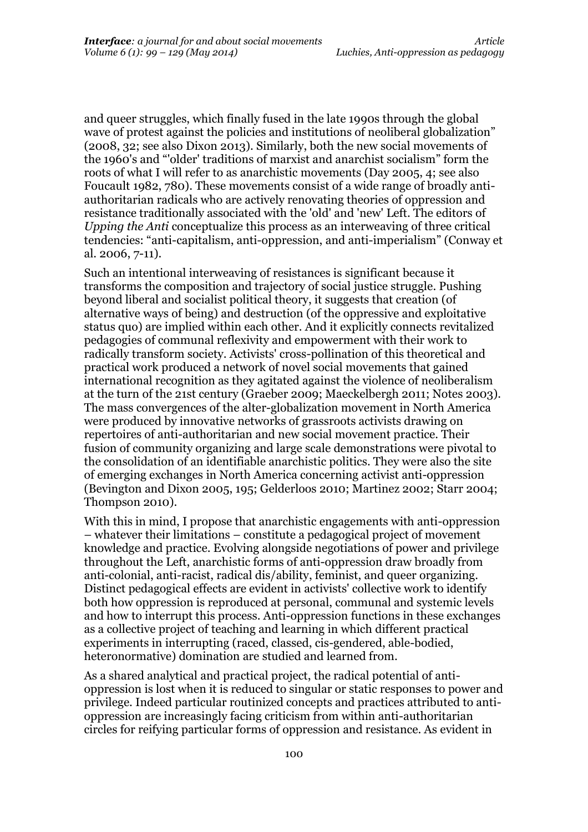and queer struggles, which finally fused in the late 1990s through the global wave of protest against the policies and institutions of neoliberal globalization" (2008, 32; see also Dixon 2013). Similarly, both the new social movements of the 1960's and "'older' traditions of marxist and anarchist socialism" form the roots of what I will refer to as anarchistic movements (Day 2005, 4; see also Foucault 1982, 780). These movements consist of a wide range of broadly antiauthoritarian radicals who are actively renovating theories of oppression and resistance traditionally associated with the 'old' and 'new' Left. The editors of *Upping the Anti* conceptualize this process as an interweaving of three critical tendencies: "anti-capitalism, anti-oppression, and anti-imperialism" (Conway et al. 2006, 7-11).

Such an intentional interweaving of resistances is significant because it transforms the composition and trajectory of social justice struggle. Pushing beyond liberal and socialist political theory, it suggests that creation (of alternative ways of being) and destruction (of the oppressive and exploitative status quo) are implied within each other. And it explicitly connects revitalized pedagogies of communal reflexivity and empowerment with their work to radically transform society. Activists' cross-pollination of this theoretical and practical work produced a network of novel social movements that gained international recognition as they agitated against the violence of neoliberalism at the turn of the 21st century (Graeber 2009; Maeckelbergh 2011; Notes 2003). The mass convergences of the alter-globalization movement in North America were produced by innovative networks of grassroots activists drawing on repertoires of anti-authoritarian and new social movement practice. Their fusion of community organizing and large scale demonstrations were pivotal to the consolidation of an identifiable anarchistic politics. They were also the site of emerging exchanges in North America concerning activist anti-oppression (Bevington and Dixon 2005, 195; Gelderloos 2010; Martinez 2002; Starr 2004; Thompson 2010).

With this in mind, I propose that anarchistic engagements with anti-oppression – whatever their limitations – constitute a pedagogical project of movement knowledge and practice. Evolving alongside negotiations of power and privilege throughout the Left, anarchistic forms of anti-oppression draw broadly from anti-colonial, anti-racist, radical dis/ability, feminist, and queer organizing. Distinct pedagogical effects are evident in activists' collective work to identify both how oppression is reproduced at personal, communal and systemic levels and how to interrupt this process. Anti-oppression functions in these exchanges as a collective project of teaching and learning in which different practical experiments in interrupting (raced, classed, cis-gendered, able-bodied, heteronormative) domination are studied and learned from.

As a shared analytical and practical project, the radical potential of antioppression is lost when it is reduced to singular or static responses to power and privilege. Indeed particular routinized concepts and practices attributed to antioppression are increasingly facing criticism from within anti-authoritarian circles for reifying particular forms of oppression and resistance. As evident in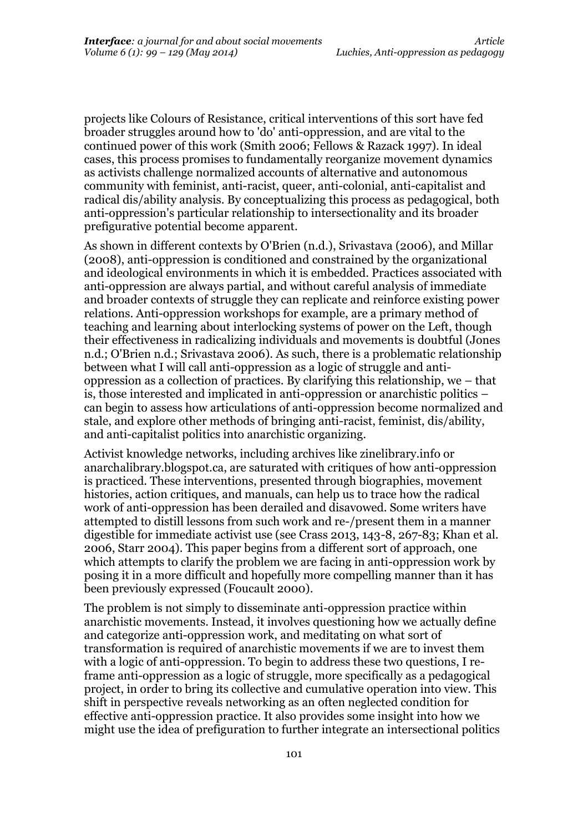projects like Colours of Resistance, critical interventions of this sort have fed broader struggles around how to 'do' anti-oppression, and are vital to the continued power of this work (Smith 2006; Fellows & Razack 1997). In ideal cases, this process promises to fundamentally reorganize movement dynamics as activists challenge normalized accounts of alternative and autonomous community with feminist, anti-racist, queer, anti-colonial, anti-capitalist and radical dis/ability analysis. By conceptualizing this process as pedagogical, both anti-oppression's particular relationship to intersectionality and its broader prefigurative potential become apparent.

As shown in different contexts by O'Brien (n.d.), Srivastava (2006), and Millar (2008), anti-oppression is conditioned and constrained by the organizational and ideological environments in which it is embedded. Practices associated with anti-oppression are always partial, and without careful analysis of immediate and broader contexts of struggle they can replicate and reinforce existing power relations. Anti-oppression workshops for example, are a primary method of teaching and learning about interlocking systems of power on the Left, though their effectiveness in radicalizing individuals and movements is doubtful (Jones n.d.; O'Brien n.d.; Srivastava 2006). As such, there is a problematic relationship between what I will call anti-oppression as a logic of struggle and antioppression as a collection of practices. By clarifying this relationship, we – that is, those interested and implicated in anti-oppression or anarchistic politics – can begin to assess how articulations of anti-oppression become normalized and stale, and explore other methods of bringing anti-racist, feminist, dis/ability, and anti-capitalist politics into anarchistic organizing.

Activist knowledge networks, including archives like zinelibrary.info or anarchalibrary.blogspot.ca, are saturated with critiques of how anti-oppression is practiced. These interventions, presented through biographies, movement histories, action critiques, and manuals, can help us to trace how the radical work of anti-oppression has been derailed and disavowed. Some writers have attempted to distill lessons from such work and re-/present them in a manner digestible for immediate activist use (see Crass 2013, 143-8, 267-83; Khan et al. 2006, Starr 2004). This paper begins from a different sort of approach, one which attempts to clarify the problem we are facing in anti-oppression work by posing it in a more difficult and hopefully more compelling manner than it has been previously expressed (Foucault 2000).

The problem is not simply to disseminate anti-oppression practice within anarchistic movements. Instead, it involves questioning how we actually define and categorize anti-oppression work, and meditating on what sort of transformation is required of anarchistic movements if we are to invest them with a logic of anti-oppression. To begin to address these two questions, I reframe anti-oppression as a logic of struggle, more specifically as a pedagogical project, in order to bring its collective and cumulative operation into view. This shift in perspective reveals networking as an often neglected condition for effective anti-oppression practice. It also provides some insight into how we might use the idea of prefiguration to further integrate an intersectional politics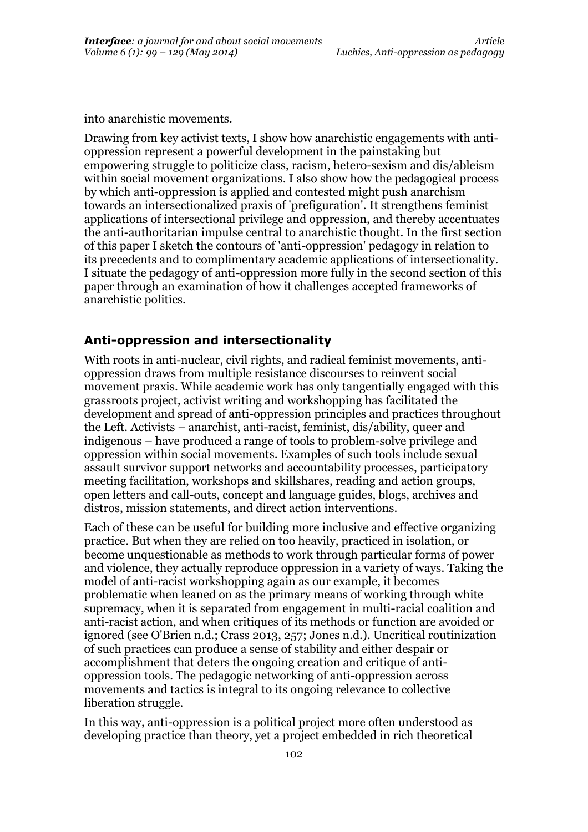into anarchistic movements.

Drawing from key activist texts, I show how anarchistic engagements with antioppression represent a powerful development in the painstaking but empowering struggle to politicize class, racism, hetero-sexism and dis/ableism within social movement organizations. I also show how the pedagogical process by which anti-oppression is applied and contested might push anarchism towards an intersectionalized praxis of 'prefiguration'. It strengthens feminist applications of intersectional privilege and oppression, and thereby accentuates the anti-authoritarian impulse central to anarchistic thought. In the first section of this paper I sketch the contours of 'anti-oppression' pedagogy in relation to its precedents and to complimentary academic applications of intersectionality. I situate the pedagogy of anti-oppression more fully in the second section of this paper through an examination of how it challenges accepted frameworks of anarchistic politics.

## **Anti-oppression and intersectionality**

With roots in anti-nuclear, civil rights, and radical feminist movements, antioppression draws from multiple resistance discourses to reinvent social movement praxis. While academic work has only tangentially engaged with this grassroots project, activist writing and workshopping has facilitated the development and spread of anti-oppression principles and practices throughout the Left. Activists – anarchist, anti-racist, feminist, dis/ability, queer and indigenous – have produced a range of tools to problem-solve privilege and oppression within social movements. Examples of such tools include sexual assault survivor support networks and accountability processes, participatory meeting facilitation, workshops and skillshares, reading and action groups, open letters and call-outs, concept and language guides, blogs, archives and distros, mission statements, and direct action interventions.

Each of these can be useful for building more inclusive and effective organizing practice. But when they are relied on too heavily, practiced in isolation, or become unquestionable as methods to work through particular forms of power and violence, they actually reproduce oppression in a variety of ways. Taking the model of anti-racist workshopping again as our example, it becomes problematic when leaned on as the primary means of working through white supremacy, when it is separated from engagement in multi-racial coalition and anti-racist action, and when critiques of its methods or function are avoided or ignored (see O'Brien n.d.; Crass 2013, 257; Jones n.d.). Uncritical routinization of such practices can produce a sense of stability and either despair or accomplishment that deters the ongoing creation and critique of antioppression tools. The pedagogic networking of anti-oppression across movements and tactics is integral to its ongoing relevance to collective liberation struggle.

In this way, anti-oppression is a political project more often understood as developing practice than theory, yet a project embedded in rich theoretical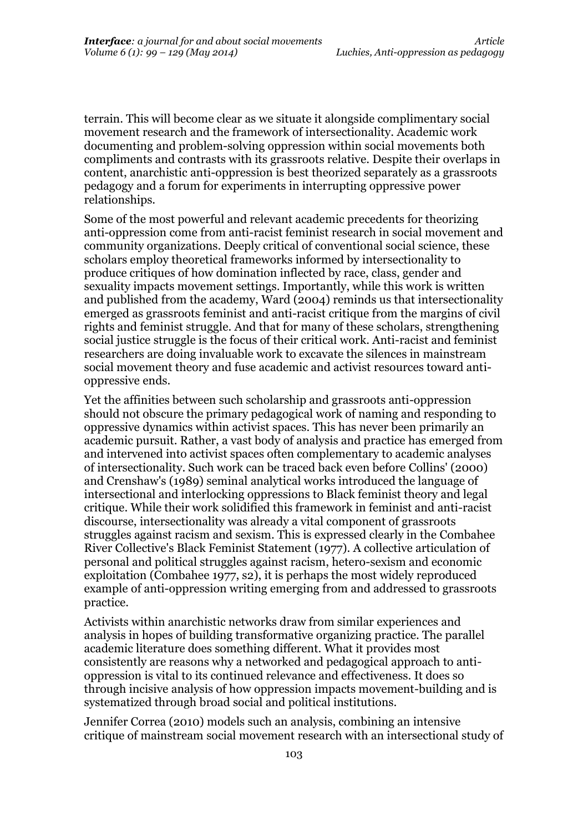terrain. This will become clear as we situate it alongside complimentary social movement research and the framework of intersectionality. Academic work documenting and problem-solving oppression within social movements both compliments and contrasts with its grassroots relative. Despite their overlaps in content, anarchistic anti-oppression is best theorized separately as a grassroots pedagogy and a forum for experiments in interrupting oppressive power relationships.

Some of the most powerful and relevant academic precedents for theorizing anti-oppression come from anti-racist feminist research in social movement and community organizations. Deeply critical of conventional social science, these scholars employ theoretical frameworks informed by intersectionality to produce critiques of how domination inflected by race, class, gender and sexuality impacts movement settings. Importantly, while this work is written and published from the academy, Ward (2004) reminds us that intersectionality emerged as grassroots feminist and anti-racist critique from the margins of civil rights and feminist struggle. And that for many of these scholars, strengthening social justice struggle is the focus of their critical work. Anti-racist and feminist researchers are doing invaluable work to excavate the silences in mainstream social movement theory and fuse academic and activist resources toward antioppressive ends.

Yet the affinities between such scholarship and grassroots anti-oppression should not obscure the primary pedagogical work of naming and responding to oppressive dynamics within activist spaces. This has never been primarily an academic pursuit. Rather, a vast body of analysis and practice has emerged from and intervened into activist spaces often complementary to academic analyses of intersectionality. Such work can be traced back even before Collins' (2000) and Crenshaw's (1989) seminal analytical works introduced the language of intersectional and interlocking oppressions to Black feminist theory and legal critique. While their work solidified this framework in feminist and anti-racist discourse, intersectionality was already a vital component of grassroots struggles against racism and sexism. This is expressed clearly in the Combahee River Collective's Black Feminist Statement (1977). A collective articulation of personal and political struggles against racism, hetero-sexism and economic exploitation (Combahee 1977, s2), it is perhaps the most widely reproduced example of anti-oppression writing emerging from and addressed to grassroots practice.

Activists within anarchistic networks draw from similar experiences and analysis in hopes of building transformative organizing practice. The parallel academic literature does something different. What it provides most consistently are reasons why a networked and pedagogical approach to antioppression is vital to its continued relevance and effectiveness. It does so through incisive analysis of how oppression impacts movement-building and is systematized through broad social and political institutions.

Jennifer Correa (2010) models such an analysis, combining an intensive critique of mainstream social movement research with an intersectional study of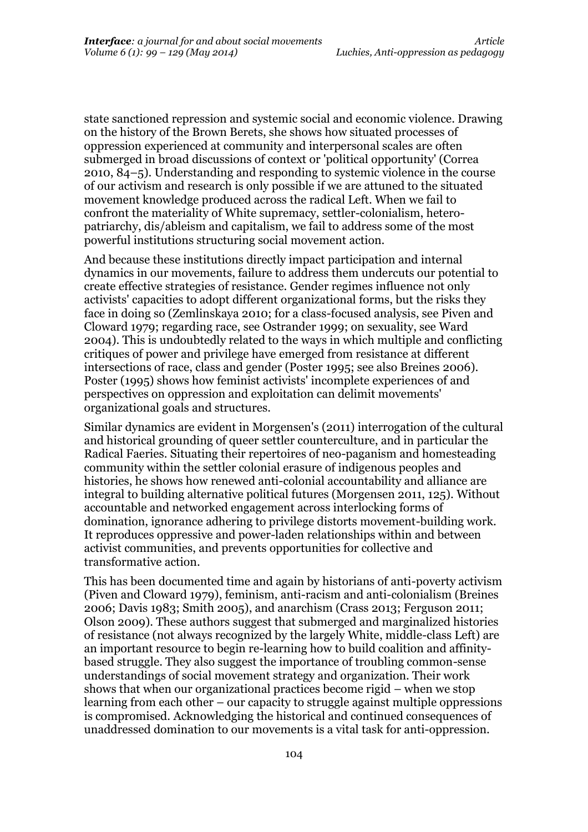state sanctioned repression and systemic social and economic violence. Drawing on the history of the Brown Berets, she shows how situated processes of oppression experienced at community and interpersonal scales are often submerged in broad discussions of context or 'political opportunity' (Correa 2010, 84–5). Understanding and responding to systemic violence in the course of our activism and research is only possible if we are attuned to the situated movement knowledge produced across the radical Left. When we fail to confront the materiality of White supremacy, settler-colonialism, heteropatriarchy, dis/ableism and capitalism, we fail to address some of the most powerful institutions structuring social movement action.

And because these institutions directly impact participation and internal dynamics in our movements, failure to address them undercuts our potential to create effective strategies of resistance. Gender regimes influence not only activists' capacities to adopt different organizational forms, but the risks they face in doing so (Zemlinskaya 2010; for a class-focused analysis, see Piven and Cloward 1979; regarding race, see Ostrander 1999; on sexuality, see Ward 2004). This is undoubtedly related to the ways in which multiple and conflicting critiques of power and privilege have emerged from resistance at different intersections of race, class and gender (Poster 1995; see also Breines 2006). Poster (1995) shows how feminist activists' incomplete experiences of and perspectives on oppression and exploitation can delimit movements' organizational goals and structures.

Similar dynamics are evident in Morgensen's (2011) interrogation of the cultural and historical grounding of queer settler counterculture, and in particular the Radical Faeries. Situating their repertoires of neo-paganism and homesteading community within the settler colonial erasure of indigenous peoples and histories, he shows how renewed anti-colonial accountability and alliance are integral to building alternative political futures (Morgensen 2011, 125). Without accountable and networked engagement across interlocking forms of domination, ignorance adhering to privilege distorts movement-building work. It reproduces oppressive and power-laden relationships within and between activist communities, and prevents opportunities for collective and transformative action.

This has been documented time and again by historians of anti-poverty activism (Piven and Cloward 1979), feminism, anti-racism and anti-colonialism (Breines 2006; Davis 1983; Smith 2005), and anarchism (Crass 2013; Ferguson 2011; Olson 2009). These authors suggest that submerged and marginalized histories of resistance (not always recognized by the largely White, middle-class Left) are an important resource to begin re-learning how to build coalition and affinitybased struggle. They also suggest the importance of troubling common-sense understandings of social movement strategy and organization. Their work shows that when our organizational practices become rigid – when we stop learning from each other – our capacity to struggle against multiple oppressions is compromised. Acknowledging the historical and continued consequences of unaddressed domination to our movements is a vital task for anti-oppression.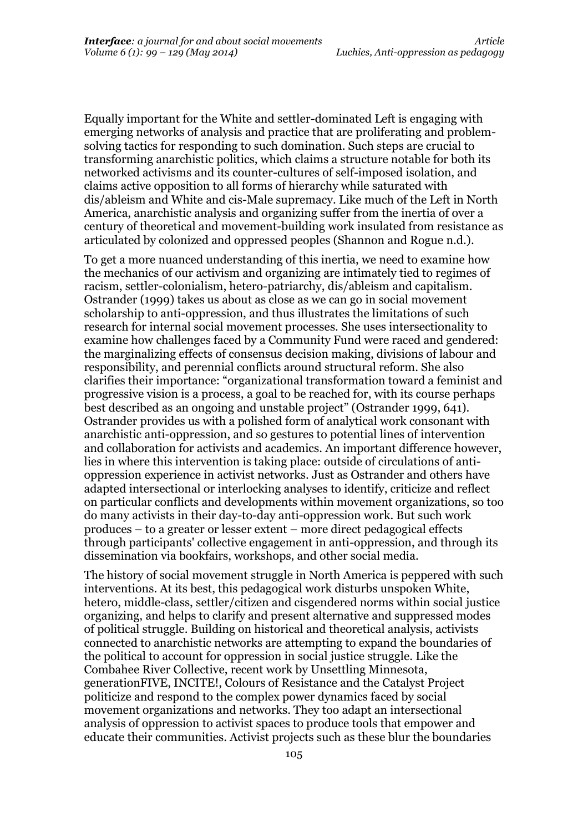Equally important for the White and settler-dominated Left is engaging with emerging networks of analysis and practice that are proliferating and problemsolving tactics for responding to such domination. Such steps are crucial to transforming anarchistic politics, which claims a structure notable for both its networked activisms and its counter-cultures of self-imposed isolation, and claims active opposition to all forms of hierarchy while saturated with dis/ableism and White and cis-Male supremacy. Like much of the Left in North America, anarchistic analysis and organizing suffer from the inertia of over a century of theoretical and movement-building work insulated from resistance as articulated by colonized and oppressed peoples (Shannon and Rogue n.d.).

To get a more nuanced understanding of this inertia, we need to examine how the mechanics of our activism and organizing are intimately tied to regimes of racism, settler-colonialism, hetero-patriarchy, dis/ableism and capitalism. Ostrander (1999) takes us about as close as we can go in social movement scholarship to anti-oppression, and thus illustrates the limitations of such research for internal social movement processes. She uses intersectionality to examine how challenges faced by a Community Fund were raced and gendered: the marginalizing effects of consensus decision making, divisions of labour and responsibility, and perennial conflicts around structural reform. She also clarifies their importance: "organizational transformation toward a feminist and progressive vision is a process, a goal to be reached for, with its course perhaps best described as an ongoing and unstable project" (Ostrander 1999, 641). Ostrander provides us with a polished form of analytical work consonant with anarchistic anti-oppression, and so gestures to potential lines of intervention and collaboration for activists and academics. An important difference however, lies in where this intervention is taking place: outside of circulations of antioppression experience in activist networks. Just as Ostrander and others have adapted intersectional or interlocking analyses to identify, criticize and reflect on particular conflicts and developments within movement organizations, so too do many activists in their day-to-day anti-oppression work. But such work produces – to a greater or lesser extent – more direct pedagogical effects through participants' collective engagement in anti-oppression, and through its dissemination via bookfairs, workshops, and other social media.

The history of social movement struggle in North America is peppered with such interventions. At its best, this pedagogical work disturbs unspoken White, hetero, middle-class, settler/citizen and cisgendered norms within social justice organizing, and helps to clarify and present alternative and suppressed modes of political struggle. Building on historical and theoretical analysis, activists connected to anarchistic networks are attempting to expand the boundaries of the political to account for oppression in social justice struggle. Like the Combahee River Collective, recent work by Unsettling Minnesota, generationFIVE, INCITE!, Colours of Resistance and the Catalyst Project politicize and respond to the complex power dynamics faced by social movement organizations and networks. They too adapt an intersectional analysis of oppression to activist spaces to produce tools that empower and educate their communities. Activist projects such as these blur the boundaries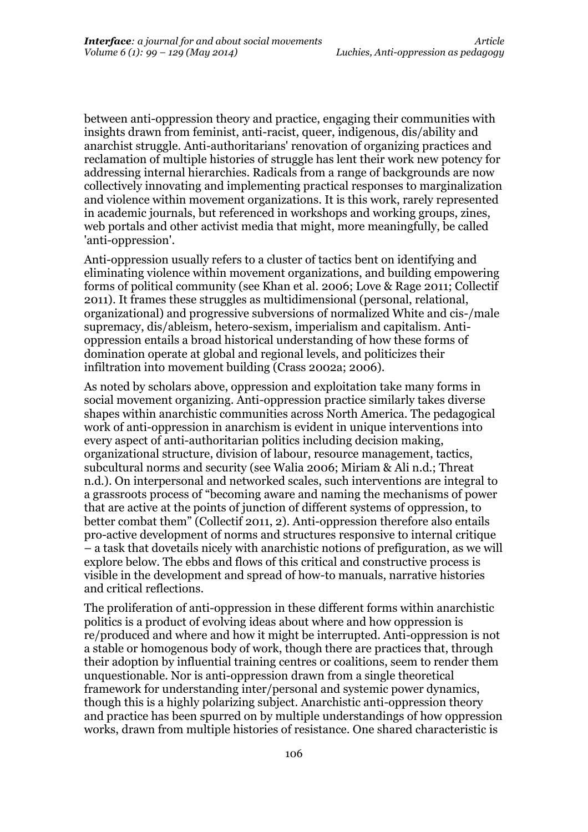between anti-oppression theory and practice, engaging their communities with insights drawn from feminist, anti-racist, queer, indigenous, dis/ability and anarchist struggle. Anti-authoritarians' renovation of organizing practices and reclamation of multiple histories of struggle has lent their work new potency for addressing internal hierarchies. Radicals from a range of backgrounds are now collectively innovating and implementing practical responses to marginalization and violence within movement organizations. It is this work, rarely represented in academic journals, but referenced in workshops and working groups, zines, web portals and other activist media that might, more meaningfully, be called 'anti-oppression'.

Anti-oppression usually refers to a cluster of tactics bent on identifying and eliminating violence within movement organizations, and building empowering forms of political community (see Khan et al. 2006; Love & Rage 2011; Collectif 2011). It frames these struggles as multidimensional (personal, relational, organizational) and progressive subversions of normalized White and cis-/male supremacy, dis/ableism, hetero-sexism, imperialism and capitalism. Antioppression entails a broad historical understanding of how these forms of domination operate at global and regional levels, and politicizes their infiltration into movement building (Crass 2002a; 2006).

As noted by scholars above, oppression and exploitation take many forms in social movement organizing. Anti-oppression practice similarly takes diverse shapes within anarchistic communities across North America. The pedagogical work of anti-oppression in anarchism is evident in unique interventions into every aspect of anti-authoritarian politics including decision making, organizational structure, division of labour, resource management, tactics, subcultural norms and security (see Walia 2006; Miriam & Ali n.d.; Threat n.d.). On interpersonal and networked scales, such interventions are integral to a grassroots process of "becoming aware and naming the mechanisms of power that are active at the points of junction of different systems of oppression, to better combat them" (Collectif 2011, 2). Anti-oppression therefore also entails pro-active development of norms and structures responsive to internal critique – a task that dovetails nicely with anarchistic notions of prefiguration, as we will explore below. The ebbs and flows of this critical and constructive process is visible in the development and spread of how-to manuals, narrative histories and critical reflections.

The proliferation of anti-oppression in these different forms within anarchistic politics is a product of evolving ideas about where and how oppression is re/produced and where and how it might be interrupted. Anti-oppression is not a stable or homogenous body of work, though there are practices that, through their adoption by influential training centres or coalitions, seem to render them unquestionable. Nor is anti-oppression drawn from a single theoretical framework for understanding inter/personal and systemic power dynamics, though this is a highly polarizing subject. Anarchistic anti-oppression theory and practice has been spurred on by multiple understandings of how oppression works, drawn from multiple histories of resistance. One shared characteristic is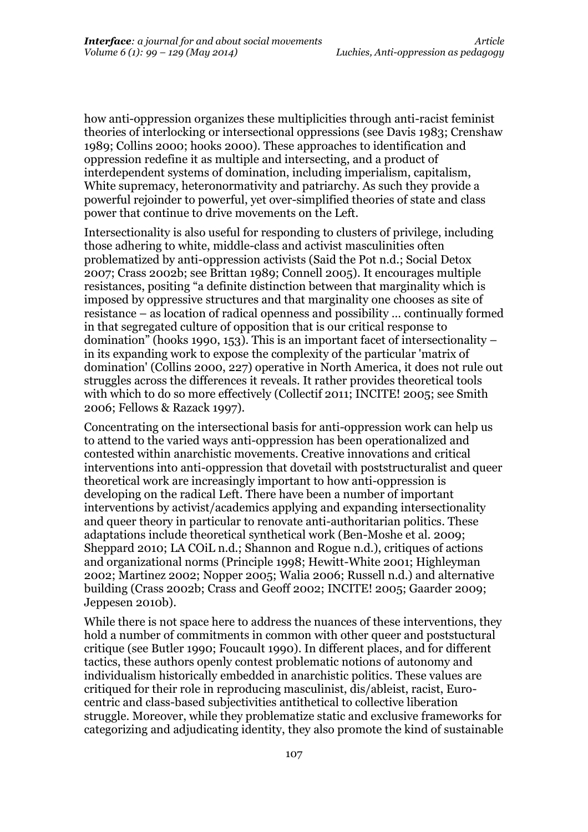how anti-oppression organizes these multiplicities through anti-racist feminist theories of interlocking or intersectional oppressions (see Davis 1983; Crenshaw 1989; Collins 2000; hooks 2000). These approaches to identification and oppression redefine it as multiple and intersecting, and a product of interdependent systems of domination, including imperialism, capitalism, White supremacy, heteronormativity and patriarchy. As such they provide a powerful rejoinder to powerful, yet over-simplified theories of state and class power that continue to drive movements on the Left.

Intersectionality is also useful for responding to clusters of privilege, including those adhering to white, middle-class and activist masculinities often problematized by anti-oppression activists (Said the Pot n.d.; Social Detox 2007; Crass 2002b; see Brittan 1989; Connell 2005). It encourages multiple resistances, positing "a definite distinction between that marginality which is imposed by oppressive structures and that marginality one chooses as site of resistance – as location of radical openness and possibility … continually formed in that segregated culture of opposition that is our critical response to domination" (hooks 1990, 153). This is an important facet of intersectionality – in its expanding work to expose the complexity of the particular 'matrix of domination' (Collins 2000, 227) operative in North America, it does not rule out struggles across the differences it reveals. It rather provides theoretical tools with which to do so more effectively (Collectif 2011; INCITE! 2005; see Smith 2006; Fellows & Razack 1997).

Concentrating on the intersectional basis for anti-oppression work can help us to attend to the varied ways anti-oppression has been operationalized and contested within anarchistic movements. Creative innovations and critical interventions into anti-oppression that dovetail with poststructuralist and queer theoretical work are increasingly important to how anti-oppression is developing on the radical Left. There have been a number of important interventions by activist/academics applying and expanding intersectionality and queer theory in particular to renovate anti-authoritarian politics. These adaptations include theoretical synthetical work (Ben-Moshe et al. 2009; Sheppard 2010; LA COiL n.d.; Shannon and Rogue n.d.), critiques of actions and organizational norms (Principle 1998; Hewitt-White 2001; Highleyman 2002; Martinez 2002; Nopper 2005; Walia 2006; Russell n.d.) and alternative building (Crass 2002b; Crass and Geoff 2002; INCITE! 2005; Gaarder 2009; Jeppesen 2010b).

While there is not space here to address the nuances of these interventions, they hold a number of commitments in common with other queer and poststuctural critique (see Butler 1990; Foucault 1990). In different places, and for different tactics, these authors openly contest problematic notions of autonomy and individualism historically embedded in anarchistic politics. These values are critiqued for their role in reproducing masculinist, dis/ableist, racist, Eurocentric and class-based subjectivities antithetical to collective liberation struggle. Moreover, while they problematize static and exclusive frameworks for categorizing and adjudicating identity, they also promote the kind of sustainable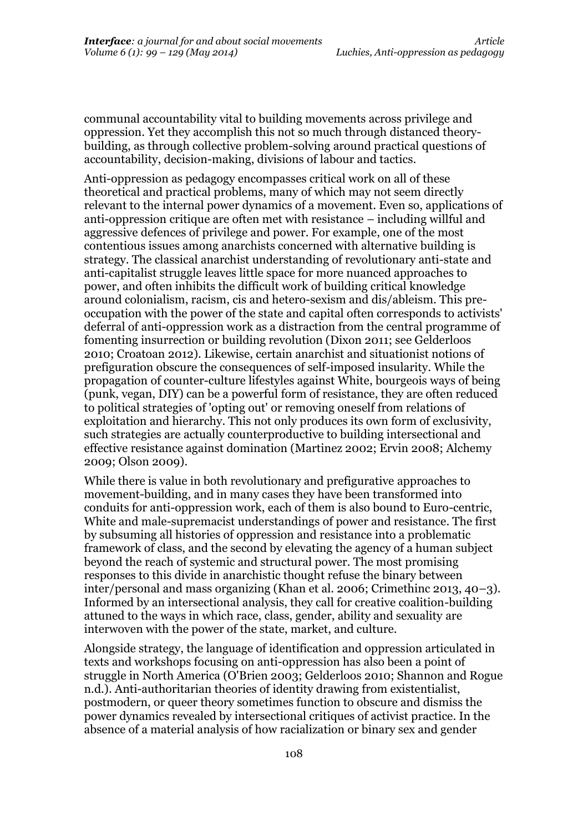communal accountability vital to building movements across privilege and oppression. Yet they accomplish this not so much through distanced theorybuilding, as through collective problem-solving around practical questions of accountability, decision-making, divisions of labour and tactics.

Anti-oppression as pedagogy encompasses critical work on all of these theoretical and practical problems, many of which may not seem directly relevant to the internal power dynamics of a movement. Even so, applications of anti-oppression critique are often met with resistance – including willful and aggressive defences of privilege and power. For example, one of the most contentious issues among anarchists concerned with alternative building is strategy. The classical anarchist understanding of revolutionary anti-state and anti-capitalist struggle leaves little space for more nuanced approaches to power, and often inhibits the difficult work of building critical knowledge around colonialism, racism, cis and hetero-sexism and dis/ableism. This preoccupation with the power of the state and capital often corresponds to activists' deferral of anti-oppression work as a distraction from the central programme of fomenting insurrection or building revolution (Dixon 2011; see Gelderloos 2010; Croatoan 2012). Likewise, certain anarchist and situationist notions of prefiguration obscure the consequences of self-imposed insularity. While the propagation of counter-culture lifestyles against White, bourgeois ways of being (punk, vegan, DIY) can be a powerful form of resistance, they are often reduced to political strategies of 'opting out' or removing oneself from relations of exploitation and hierarchy. This not only produces its own form of exclusivity, such strategies are actually counterproductive to building intersectional and effective resistance against domination (Martinez 2002; Ervin 2008; Alchemy 2009; Olson 2009).

While there is value in both revolutionary and prefigurative approaches to movement-building, and in many cases they have been transformed into conduits for anti-oppression work, each of them is also bound to Euro-centric, White and male-supremacist understandings of power and resistance. The first by subsuming all histories of oppression and resistance into a problematic framework of class, and the second by elevating the agency of a human subject beyond the reach of systemic and structural power. The most promising responses to this divide in anarchistic thought refuse the binary between inter/personal and mass organizing (Khan et al. 2006; Crimethinc 2013, 40–3). Informed by an intersectional analysis, they call for creative coalition-building attuned to the ways in which race, class, gender, ability and sexuality are interwoven with the power of the state, market, and culture.

Alongside strategy, the language of identification and oppression articulated in texts and workshops focusing on anti-oppression has also been a point of struggle in North America (O'Brien 2003; Gelderloos 2010; Shannon and Rogue n.d.). Anti-authoritarian theories of identity drawing from existentialist, postmodern, or queer theory sometimes function to obscure and dismiss the power dynamics revealed by intersectional critiques of activist practice. In the absence of a material analysis of how racialization or binary sex and gender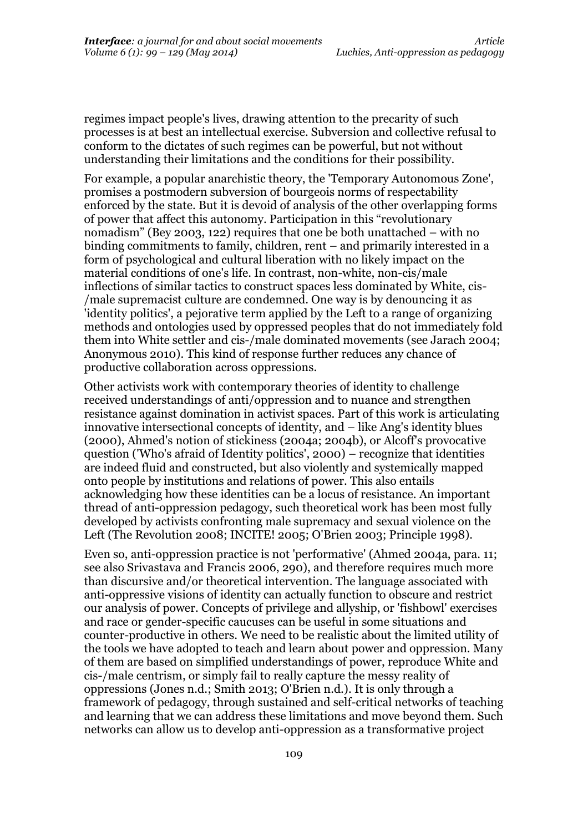regimes impact people's lives, drawing attention to the precarity of such processes is at best an intellectual exercise. Subversion and collective refusal to conform to the dictates of such regimes can be powerful, but not without understanding their limitations and the conditions for their possibility.

For example, a popular anarchistic theory, the 'Temporary Autonomous Zone', promises a postmodern subversion of bourgeois norms of respectability enforced by the state. But it is devoid of analysis of the other overlapping forms of power that affect this autonomy. Participation in this "revolutionary nomadism" (Bey 2003, 122) requires that one be both unattached – with no binding commitments to family, children, rent – and primarily interested in a form of psychological and cultural liberation with no likely impact on the material conditions of one's life. In contrast, non-white, non-cis/male inflections of similar tactics to construct spaces less dominated by White, cis- /male supremacist culture are condemned. One way is by denouncing it as 'identity politics', a pejorative term applied by the Left to a range of organizing methods and ontologies used by oppressed peoples that do not immediately fold them into White settler and cis-/male dominated movements (see Jarach 2004; Anonymous 2010). This kind of response further reduces any chance of productive collaboration across oppressions.

Other activists work with contemporary theories of identity to challenge received understandings of anti/oppression and to nuance and strengthen resistance against domination in activist spaces. Part of this work is articulating innovative intersectional concepts of identity, and – like Ang's identity blues (2000), Ahmed's notion of stickiness (2004a; 2004b), or Alcoff's provocative question ('Who's afraid of Identity politics', 2000) – recognize that identities are indeed fluid and constructed, but also violently and systemically mapped onto people by institutions and relations of power. This also entails acknowledging how these identities can be a locus of resistance. An important thread of anti-oppression pedagogy, such theoretical work has been most fully developed by activists confronting male supremacy and sexual violence on the Left (The Revolution 2008; INCITE! 2005; O'Brien 2003; Principle 1998).

Even so, anti-oppression practice is not 'performative' (Ahmed 2004a, para. 11; see also Srivastava and Francis 2006, 290), and therefore requires much more than discursive and/or theoretical intervention. The language associated with anti-oppressive visions of identity can actually function to obscure and restrict our analysis of power. Concepts of privilege and allyship, or 'fishbowl' exercises and race or gender-specific caucuses can be useful in some situations and counter-productive in others. We need to be realistic about the limited utility of the tools we have adopted to teach and learn about power and oppression. Many of them are based on simplified understandings of power, reproduce White and cis-/male centrism, or simply fail to really capture the messy reality of oppressions (Jones n.d.; Smith 2013; O'Brien n.d.). It is only through a framework of pedagogy, through sustained and self-critical networks of teaching and learning that we can address these limitations and move beyond them. Such networks can allow us to develop anti-oppression as a transformative project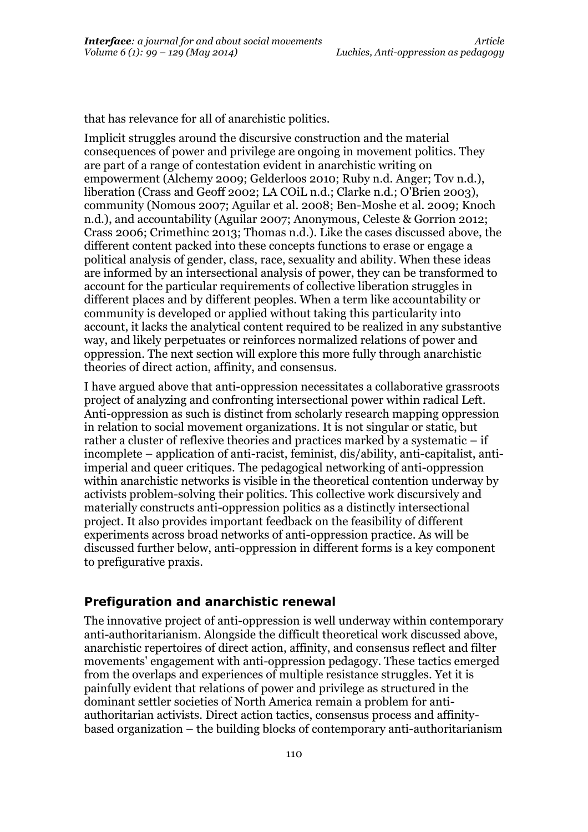that has relevance for all of anarchistic politics.

Implicit struggles around the discursive construction and the material consequences of power and privilege are ongoing in movement politics. They are part of a range of contestation evident in anarchistic writing on empowerment (Alchemy 2009; Gelderloos 2010; Ruby n.d. Anger; Tov n.d.), liberation (Crass and Geoff 2002; LA COiL n.d.; Clarke n.d.; O'Brien 2003), community (Nomous 2007; Aguilar et al. 2008; Ben-Moshe et al. 2009; Knoch n.d.), and accountability (Aguilar 2007; Anonymous, Celeste & Gorrion 2012; Crass 2006; Crimethinc 2013; Thomas n.d.). Like the cases discussed above, the different content packed into these concepts functions to erase or engage a political analysis of gender, class, race, sexuality and ability. When these ideas are informed by an intersectional analysis of power, they can be transformed to account for the particular requirements of collective liberation struggles in different places and by different peoples. When a term like accountability or community is developed or applied without taking this particularity into account, it lacks the analytical content required to be realized in any substantive way, and likely perpetuates or reinforces normalized relations of power and oppression. The next section will explore this more fully through anarchistic theories of direct action, affinity, and consensus.

I have argued above that anti-oppression necessitates a collaborative grassroots project of analyzing and confronting intersectional power within radical Left. Anti-oppression as such is distinct from scholarly research mapping oppression in relation to social movement organizations. It is not singular or static, but rather a cluster of reflexive theories and practices marked by a systematic – if incomplete – application of anti-racist, feminist, dis/ability, anti-capitalist, antiimperial and queer critiques. The pedagogical networking of anti-oppression within anarchistic networks is visible in the theoretical contention underway by activists problem-solving their politics. This collective work discursively and materially constructs anti-oppression politics as a distinctly intersectional project. It also provides important feedback on the feasibility of different experiments across broad networks of anti-oppression practice. As will be discussed further below, anti-oppression in different forms is a key component to prefigurative praxis.

#### **Prefiguration and anarchistic renewal**

The innovative project of anti-oppression is well underway within contemporary anti-authoritarianism. Alongside the difficult theoretical work discussed above, anarchistic repertoires of direct action, affinity, and consensus reflect and filter movements' engagement with anti-oppression pedagogy. These tactics emerged from the overlaps and experiences of multiple resistance struggles. Yet it is painfully evident that relations of power and privilege as structured in the dominant settler societies of North America remain a problem for antiauthoritarian activists. Direct action tactics, consensus process and affinitybased organization – the building blocks of contemporary anti-authoritarianism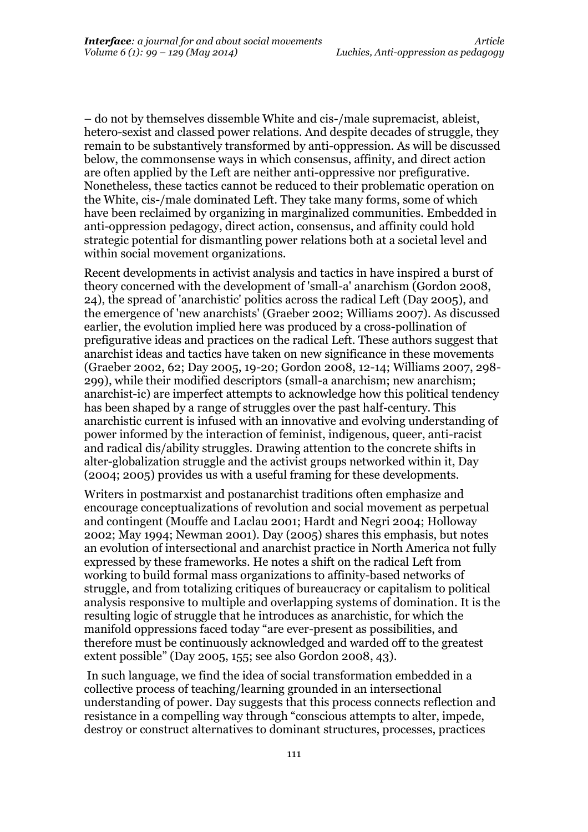– do not by themselves dissemble White and cis-/male supremacist, ableist, hetero-sexist and classed power relations. And despite decades of struggle, they remain to be substantively transformed by anti-oppression. As will be discussed below, the commonsense ways in which consensus, affinity, and direct action are often applied by the Left are neither anti-oppressive nor prefigurative. Nonetheless, these tactics cannot be reduced to their problematic operation on the White, cis-/male dominated Left. They take many forms, some of which have been reclaimed by organizing in marginalized communities. Embedded in anti-oppression pedagogy, direct action, consensus, and affinity could hold strategic potential for dismantling power relations both at a societal level and within social movement organizations.

Recent developments in activist analysis and tactics in have inspired a burst of theory concerned with the development of 'small-a' anarchism (Gordon 2008, 24), the spread of 'anarchistic' politics across the radical Left (Day 2005), and the emergence of 'new anarchists' (Graeber 2002; Williams 2007). As discussed earlier, the evolution implied here was produced by a cross-pollination of prefigurative ideas and practices on the radical Left. These authors suggest that anarchist ideas and tactics have taken on new significance in these movements (Graeber 2002, 62; Day 2005, 19-20; Gordon 2008, 12-14; Williams 2007, 298- 299), while their modified descriptors (small-a anarchism; new anarchism; anarchist-ic) are imperfect attempts to acknowledge how this political tendency has been shaped by a range of struggles over the past half-century. This anarchistic current is infused with an innovative and evolving understanding of power informed by the interaction of feminist, indigenous, queer, anti-racist and radical dis/ability struggles. Drawing attention to the concrete shifts in alter-globalization struggle and the activist groups networked within it, Day (2004; 2005) provides us with a useful framing for these developments.

Writers in postmarxist and postanarchist traditions often emphasize and encourage conceptualizations of revolution and social movement as perpetual and contingent (Mouffe and Laclau 2001; Hardt and Negri 2004; Holloway 2002; May 1994; Newman 2001). Day (2005) shares this emphasis, but notes an evolution of intersectional and anarchist practice in North America not fully expressed by these frameworks. He notes a shift on the radical Left from working to build formal mass organizations to affinity-based networks of struggle, and from totalizing critiques of bureaucracy or capitalism to political analysis responsive to multiple and overlapping systems of domination. It is the resulting logic of struggle that he introduces as anarchistic, for which the manifold oppressions faced today "are ever-present as possibilities, and therefore must be continuously acknowledged and warded off to the greatest extent possible" (Day 2005, 155; see also Gordon 2008, 43).

In such language, we find the idea of social transformation embedded in a collective process of teaching/learning grounded in an intersectional understanding of power. Day suggests that this process connects reflection and resistance in a compelling way through "conscious attempts to alter, impede, destroy or construct alternatives to dominant structures, processes, practices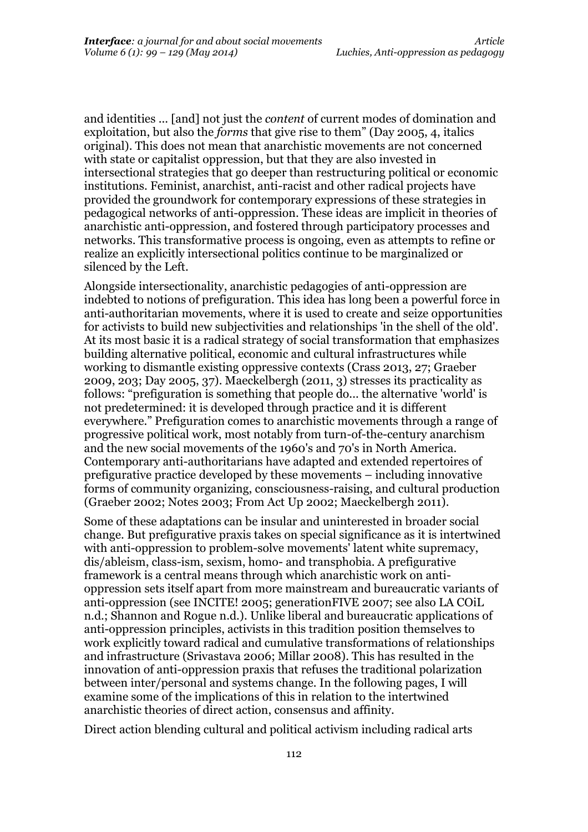and identities ... [and] not just the *content* of current modes of domination and exploitation, but also the *forms* that give rise to them" (Day 2005, 4, italics original). This does not mean that anarchistic movements are not concerned with state or capitalist oppression, but that they are also invested in intersectional strategies that go deeper than restructuring political or economic institutions. Feminist, anarchist, anti-racist and other radical projects have provided the groundwork for contemporary expressions of these strategies in pedagogical networks of anti-oppression. These ideas are implicit in theories of anarchistic anti-oppression, and fostered through participatory processes and networks. This transformative process is ongoing, even as attempts to refine or realize an explicitly intersectional politics continue to be marginalized or silenced by the Left.

Alongside intersectionality, anarchistic pedagogies of anti-oppression are indebted to notions of prefiguration. This idea has long been a powerful force in anti-authoritarian movements, where it is used to create and seize opportunities for activists to build new subjectivities and relationships 'in the shell of the old'. At its most basic it is a radical strategy of social transformation that emphasizes building alternative political, economic and cultural infrastructures while working to dismantle existing oppressive contexts (Crass 2013, 27; Graeber 2009, 203; Day 2005, 37). Maeckelbergh (2011, 3) stresses its practicality as follows: "prefiguration is something that people do... the alternative 'world' is not predetermined: it is developed through practice and it is different everywhere." Prefiguration comes to anarchistic movements through a range of progressive political work, most notably from turn-of-the-century anarchism and the new social movements of the 1960's and 70's in North America. Contemporary anti-authoritarians have adapted and extended repertoires of prefigurative practice developed by these movements – including innovative forms of community organizing, consciousness-raising, and cultural production (Graeber 2002; Notes 2003; From Act Up 2002; Maeckelbergh 2011).

Some of these adaptations can be insular and uninterested in broader social change. But prefigurative praxis takes on special significance as it is intertwined with anti-oppression to problem-solve movements' latent white supremacy, dis/ableism, class-ism, sexism, homo- and transphobia. A prefigurative framework is a central means through which anarchistic work on antioppression sets itself apart from more mainstream and bureaucratic variants of anti-oppression (see INCITE! 2005; generationFIVE 2007; see also LA COiL n.d.; Shannon and Rogue n.d.). Unlike liberal and bureaucratic applications of anti-oppression principles, activists in this tradition position themselves to work explicitly toward radical and cumulative transformations of relationships and infrastructure (Srivastava 2006; Millar 2008). This has resulted in the innovation of anti-oppression praxis that refuses the traditional polarization between inter/personal and systems change. In the following pages, I will examine some of the implications of this in relation to the intertwined anarchistic theories of direct action, consensus and affinity.

Direct action blending cultural and political activism including radical arts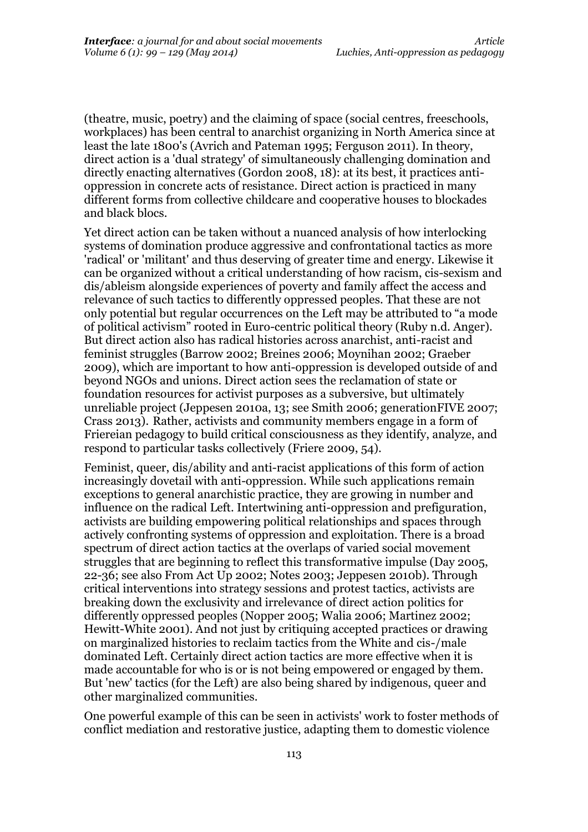(theatre, music, poetry) and the claiming of space (social centres, freeschools, workplaces) has been central to anarchist organizing in North America since at least the late 1800's (Avrich and Pateman 1995; Ferguson 2011). In theory, direct action is a 'dual strategy' of simultaneously challenging domination and directly enacting alternatives (Gordon 2008, 18): at its best, it practices antioppression in concrete acts of resistance. Direct action is practiced in many different forms from collective childcare and cooperative houses to blockades and black blocs.

Yet direct action can be taken without a nuanced analysis of how interlocking systems of domination produce aggressive and confrontational tactics as more 'radical' or 'militant' and thus deserving of greater time and energy. Likewise it can be organized without a critical understanding of how racism, cis-sexism and dis/ableism alongside experiences of poverty and family affect the access and relevance of such tactics to differently oppressed peoples. That these are not only potential but regular occurrences on the Left may be attributed to "a mode of political activism" rooted in Euro-centric political theory (Ruby n.d. Anger). But direct action also has radical histories across anarchist, anti-racist and feminist struggles (Barrow 2002; Breines 2006; Moynihan 2002; Graeber 2009), which are important to how anti-oppression is developed outside of and beyond NGOs and unions. Direct action sees the reclamation of state or foundation resources for activist purposes as a subversive, but ultimately unreliable project (Jeppesen 2010a, 13; see Smith 2006; generationFIVE 2007; Crass 2013). Rather, activists and community members engage in a form of Friereian pedagogy to build critical consciousness as they identify, analyze, and respond to particular tasks collectively (Friere 2009, 54).

Feminist, queer, dis/ability and anti-racist applications of this form of action increasingly dovetail with anti-oppression. While such applications remain exceptions to general anarchistic practice, they are growing in number and influence on the radical Left. Intertwining anti-oppression and prefiguration, activists are building empowering political relationships and spaces through actively confronting systems of oppression and exploitation. There is a broad spectrum of direct action tactics at the overlaps of varied social movement struggles that are beginning to reflect this transformative impulse (Day 2005, 22-36; see also From Act Up 2002; Notes 2003; Jeppesen 2010b). Through critical interventions into strategy sessions and protest tactics, activists are breaking down the exclusivity and irrelevance of direct action politics for differently oppressed peoples (Nopper 2005; Walia 2006; Martinez 2002; Hewitt-White 2001). And not just by critiquing accepted practices or drawing on marginalized histories to reclaim tactics from the White and cis-/male dominated Left. Certainly direct action tactics are more effective when it is made accountable for who is or is not being empowered or engaged by them. But 'new' tactics (for the Left) are also being shared by indigenous, queer and other marginalized communities.

One powerful example of this can be seen in activists' work to foster methods of conflict mediation and restorative justice, adapting them to domestic violence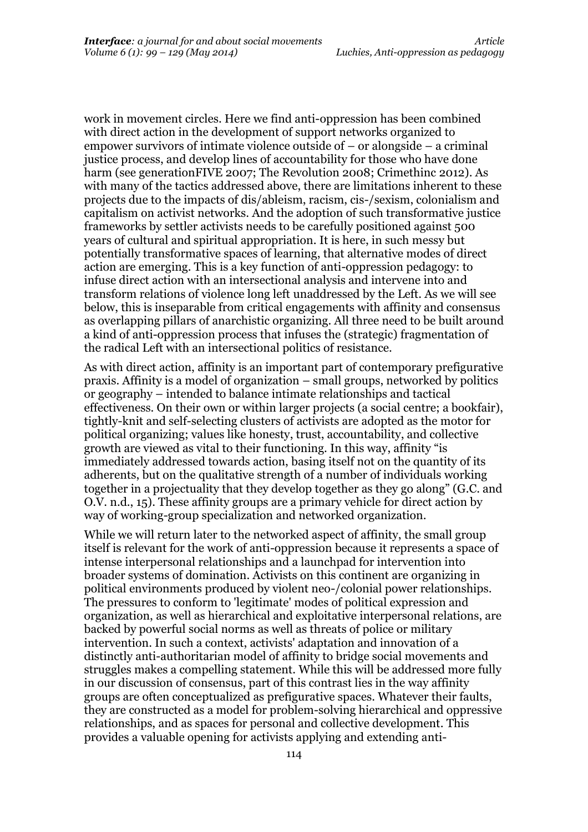work in movement circles. Here we find anti-oppression has been combined with direct action in the development of support networks organized to empower survivors of intimate violence outside of – or alongside – a criminal justice process, and develop lines of accountability for those who have done harm (see generationFIVE 2007; The Revolution 2008; Crimethinc 2012). As with many of the tactics addressed above, there are limitations inherent to these projects due to the impacts of dis/ableism, racism, cis-/sexism, colonialism and capitalism on activist networks. And the adoption of such transformative justice frameworks by settler activists needs to be carefully positioned against 500 years of cultural and spiritual appropriation. It is here, in such messy but potentially transformative spaces of learning, that alternative modes of direct action are emerging. This is a key function of anti-oppression pedagogy: to infuse direct action with an intersectional analysis and intervene into and transform relations of violence long left unaddressed by the Left. As we will see below, this is inseparable from critical engagements with affinity and consensus as overlapping pillars of anarchistic organizing. All three need to be built around a kind of anti-oppression process that infuses the (strategic) fragmentation of the radical Left with an intersectional politics of resistance.

As with direct action, affinity is an important part of contemporary prefigurative praxis. Affinity is a model of organization – small groups, networked by politics or geography – intended to balance intimate relationships and tactical effectiveness. On their own or within larger projects (a social centre; a bookfair), tightly-knit and self-selecting clusters of activists are adopted as the motor for political organizing; values like honesty, trust, accountability, and collective growth are viewed as vital to their functioning. In this way, affinity "is immediately addressed towards action, basing itself not on the quantity of its adherents, but on the qualitative strength of a number of individuals working together in a projectuality that they develop together as they go along" (G.C. and O.V. n.d., 15). These affinity groups are a primary vehicle for direct action by way of working-group specialization and networked organization.

While we will return later to the networked aspect of affinity, the small group itself is relevant for the work of anti-oppression because it represents a space of intense interpersonal relationships and a launchpad for intervention into broader systems of domination. Activists on this continent are organizing in political environments produced by violent neo-/colonial power relationships. The pressures to conform to 'legitimate' modes of political expression and organization, as well as hierarchical and exploitative interpersonal relations, are backed by powerful social norms as well as threats of police or military intervention. In such a context, activists' adaptation and innovation of a distinctly anti-authoritarian model of affinity to bridge social movements and struggles makes a compelling statement. While this will be addressed more fully in our discussion of consensus, part of this contrast lies in the way affinity groups are often conceptualized as prefigurative spaces. Whatever their faults, they are constructed as a model for problem-solving hierarchical and oppressive relationships, and as spaces for personal and collective development. This provides a valuable opening for activists applying and extending anti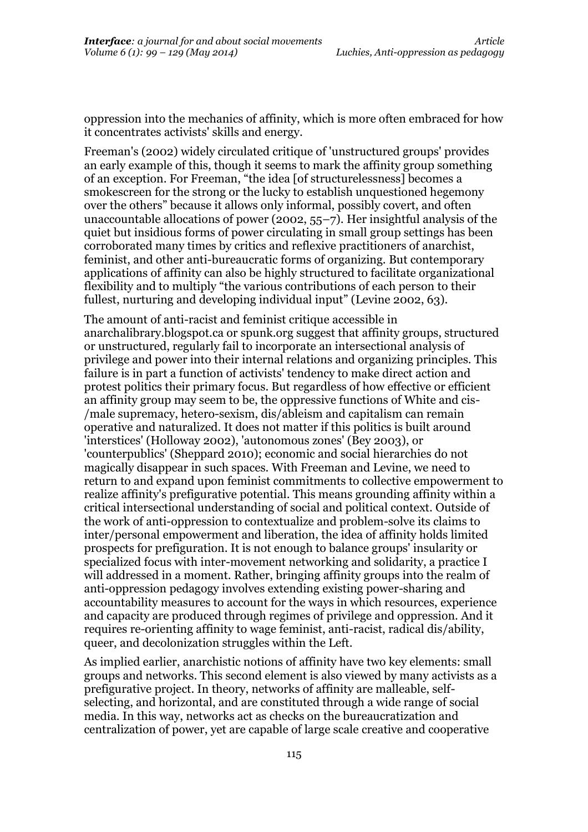oppression into the mechanics of affinity, which is more often embraced for how it concentrates activists' skills and energy.

Freeman's (2002) widely circulated critique of 'unstructured groups' provides an early example of this, though it seems to mark the affinity group something of an exception. For Freeman, "the idea [of structurelessness] becomes a smokescreen for the strong or the lucky to establish unquestioned hegemony over the others" because it allows only informal, possibly covert, and often unaccountable allocations of power (2002, 55–7). Her insightful analysis of the quiet but insidious forms of power circulating in small group settings has been corroborated many times by critics and reflexive practitioners of anarchist, feminist, and other anti-bureaucratic forms of organizing. But contemporary applications of affinity can also be highly structured to facilitate organizational flexibility and to multiply "the various contributions of each person to their fullest, nurturing and developing individual input" (Levine 2002, 63).

The amount of anti-racist and feminist critique accessible in anarchalibrary.blogspot.ca or spunk.org suggest that affinity groups, structured or unstructured, regularly fail to incorporate an intersectional analysis of privilege and power into their internal relations and organizing principles. This failure is in part a function of activists' tendency to make direct action and protest politics their primary focus. But regardless of how effective or efficient an affinity group may seem to be, the oppressive functions of White and cis- /male supremacy, hetero-sexism, dis/ableism and capitalism can remain operative and naturalized. It does not matter if this politics is built around 'interstices' (Holloway 2002), 'autonomous zones' (Bey 2003), or 'counterpublics' (Sheppard 2010); economic and social hierarchies do not magically disappear in such spaces. With Freeman and Levine, we need to return to and expand upon feminist commitments to collective empowerment to realize affinity's prefigurative potential. This means grounding affinity within a critical intersectional understanding of social and political context. Outside of the work of anti-oppression to contextualize and problem-solve its claims to inter/personal empowerment and liberation, the idea of affinity holds limited prospects for prefiguration. It is not enough to balance groups' insularity or specialized focus with inter-movement networking and solidarity, a practice I will addressed in a moment. Rather, bringing affinity groups into the realm of anti-oppression pedagogy involves extending existing power-sharing and accountability measures to account for the ways in which resources, experience and capacity are produced through regimes of privilege and oppression. And it requires re-orienting affinity to wage feminist, anti-racist, radical dis/ability, queer, and decolonization struggles within the Left.

As implied earlier, anarchistic notions of affinity have two key elements: small groups and networks. This second element is also viewed by many activists as a prefigurative project. In theory, networks of affinity are malleable, selfselecting, and horizontal, and are constituted through a wide range of social media. In this way, networks act as checks on the bureaucratization and centralization of power, yet are capable of large scale creative and cooperative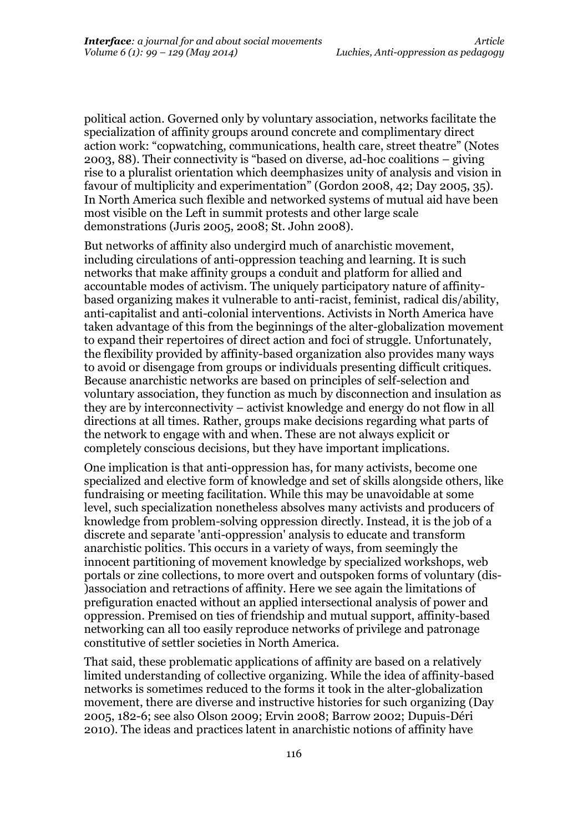political action. Governed only by voluntary association, networks facilitate the specialization of affinity groups around concrete and complimentary direct action work: "copwatching, communications, health care, street theatre" (Notes 2003, 88). Their connectivity is "based on diverse, ad-hoc coalitions – giving rise to a pluralist orientation which deemphasizes unity of analysis and vision in favour of multiplicity and experimentation" (Gordon 2008, 42; Day 2005, 35). In North America such flexible and networked systems of mutual aid have been most visible on the Left in summit protests and other large scale demonstrations (Juris 2005, 2008; St. John 2008).

But networks of affinity also undergird much of anarchistic movement, including circulations of anti-oppression teaching and learning. It is such networks that make affinity groups a conduit and platform for allied and accountable modes of activism. The uniquely participatory nature of affinitybased organizing makes it vulnerable to anti-racist, feminist, radical dis/ability, anti-capitalist and anti-colonial interventions. Activists in North America have taken advantage of this from the beginnings of the alter-globalization movement to expand their repertoires of direct action and foci of struggle. Unfortunately, the flexibility provided by affinity-based organization also provides many ways to avoid or disengage from groups or individuals presenting difficult critiques. Because anarchistic networks are based on principles of self-selection and voluntary association, they function as much by disconnection and insulation as they are by interconnectivity – activist knowledge and energy do not flow in all directions at all times. Rather, groups make decisions regarding what parts of the network to engage with and when. These are not always explicit or completely conscious decisions, but they have important implications.

One implication is that anti-oppression has, for many activists, become one specialized and elective form of knowledge and set of skills alongside others, like fundraising or meeting facilitation. While this may be unavoidable at some level, such specialization nonetheless absolves many activists and producers of knowledge from problem-solving oppression directly. Instead, it is the job of a discrete and separate 'anti-oppression' analysis to educate and transform anarchistic politics. This occurs in a variety of ways, from seemingly the innocent partitioning of movement knowledge by specialized workshops, web portals or zine collections, to more overt and outspoken forms of voluntary (dis- )association and retractions of affinity. Here we see again the limitations of prefiguration enacted without an applied intersectional analysis of power and oppression. Premised on ties of friendship and mutual support, affinity-based networking can all too easily reproduce networks of privilege and patronage constitutive of settler societies in North America.

That said, these problematic applications of affinity are based on a relatively limited understanding of collective organizing. While the idea of affinity-based networks is sometimes reduced to the forms it took in the alter-globalization movement, there are diverse and instructive histories for such organizing (Day 2005, 182-6; see also Olson 2009; Ervin 2008; Barrow 2002; Dupuis-Déri 2010). The ideas and practices latent in anarchistic notions of affinity have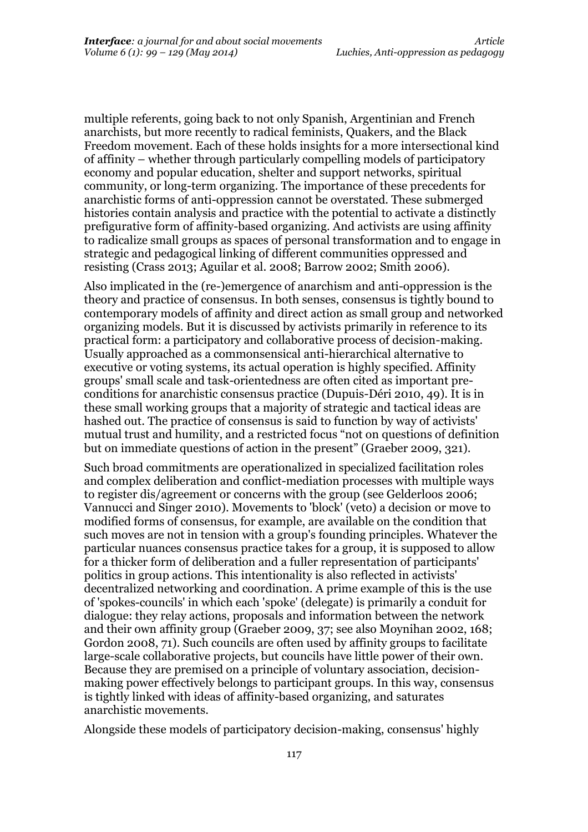multiple referents, going back to not only Spanish, Argentinian and French anarchists, but more recently to radical feminists, Quakers, and the Black Freedom movement. Each of these holds insights for a more intersectional kind of affinity – whether through particularly compelling models of participatory economy and popular education, shelter and support networks, spiritual community, or long-term organizing. The importance of these precedents for anarchistic forms of anti-oppression cannot be overstated. These submerged histories contain analysis and practice with the potential to activate a distinctly prefigurative form of affinity-based organizing. And activists are using affinity to radicalize small groups as spaces of personal transformation and to engage in strategic and pedagogical linking of different communities oppressed and resisting (Crass 2013; Aguilar et al. 2008; Barrow 2002; Smith 2006).

Also implicated in the (re-)emergence of anarchism and anti-oppression is the theory and practice of consensus. In both senses, consensus is tightly bound to contemporary models of affinity and direct action as small group and networked organizing models. But it is discussed by activists primarily in reference to its practical form: a participatory and collaborative process of decision-making. Usually approached as a commonsensical anti-hierarchical alternative to executive or voting systems, its actual operation is highly specified. Affinity groups' small scale and task-orientedness are often cited as important preconditions for anarchistic consensus practice (Dupuis-Déri 2010, 49). It is in these small working groups that a majority of strategic and tactical ideas are hashed out. The practice of consensus is said to function by way of activists' mutual trust and humility, and a restricted focus "not on questions of definition but on immediate questions of action in the present" (Graeber 2009, 321).

Such broad commitments are operationalized in specialized facilitation roles and complex deliberation and conflict-mediation processes with multiple ways to register dis/agreement or concerns with the group (see Gelderloos 2006; Vannucci and Singer 2010). Movements to 'block' (veto) a decision or move to modified forms of consensus, for example, are available on the condition that such moves are not in tension with a group's founding principles. Whatever the particular nuances consensus practice takes for a group, it is supposed to allow for a thicker form of deliberation and a fuller representation of participants' politics in group actions. This intentionality is also reflected in activists' decentralized networking and coordination. A prime example of this is the use of 'spokes-councils' in which each 'spoke' (delegate) is primarily a conduit for dialogue: they relay actions, proposals and information between the network and their own affinity group (Graeber 2009, 37; see also Moynihan 2002, 168; Gordon 2008, 71). Such councils are often used by affinity groups to facilitate large-scale collaborative projects, but councils have little power of their own. Because they are premised on a principle of voluntary association, decisionmaking power effectively belongs to participant groups. In this way, consensus is tightly linked with ideas of affinity-based organizing, and saturates anarchistic movements.

Alongside these models of participatory decision-making, consensus' highly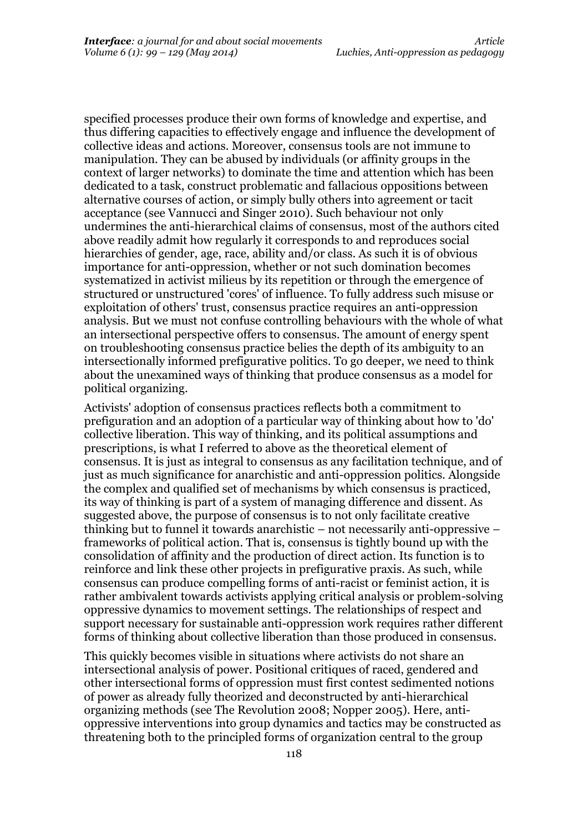specified processes produce their own forms of knowledge and expertise, and thus differing capacities to effectively engage and influence the development of collective ideas and actions. Moreover, consensus tools are not immune to manipulation. They can be abused by individuals (or affinity groups in the context of larger networks) to dominate the time and attention which has been dedicated to a task, construct problematic and fallacious oppositions between alternative courses of action, or simply bully others into agreement or tacit acceptance (see Vannucci and Singer 2010). Such behaviour not only undermines the anti-hierarchical claims of consensus, most of the authors cited above readily admit how regularly it corresponds to and reproduces social hierarchies of gender, age, race, ability and/or class. As such it is of obvious importance for anti-oppression, whether or not such domination becomes systematized in activist milieus by its repetition or through the emergence of structured or unstructured 'cores' of influence. To fully address such misuse or exploitation of others' trust, consensus practice requires an anti-oppression analysis. But we must not confuse controlling behaviours with the whole of what an intersectional perspective offers to consensus. The amount of energy spent on troubleshooting consensus practice belies the depth of its ambiguity to an intersectionally informed prefigurative politics. To go deeper, we need to think about the unexamined ways of thinking that produce consensus as a model for political organizing.

Activists' adoption of consensus practices reflects both a commitment to prefiguration and an adoption of a particular way of thinking about how to 'do' collective liberation. This way of thinking, and its political assumptions and prescriptions, is what I referred to above as the theoretical element of consensus. It is just as integral to consensus as any facilitation technique, and of just as much significance for anarchistic and anti-oppression politics. Alongside the complex and qualified set of mechanisms by which consensus is practiced, its way of thinking is part of a system of managing difference and dissent. As suggested above, the purpose of consensus is to not only facilitate creative thinking but to funnel it towards anarchistic – not necessarily anti-oppressive – frameworks of political action. That is, consensus is tightly bound up with the consolidation of affinity and the production of direct action. Its function is to reinforce and link these other projects in prefigurative praxis. As such, while consensus can produce compelling forms of anti-racist or feminist action, it is rather ambivalent towards activists applying critical analysis or problem-solving oppressive dynamics to movement settings. The relationships of respect and support necessary for sustainable anti-oppression work requires rather different forms of thinking about collective liberation than those produced in consensus.

This quickly becomes visible in situations where activists do not share an intersectional analysis of power. Positional critiques of raced, gendered and other intersectional forms of oppression must first contest sedimented notions of power as already fully theorized and deconstructed by anti-hierarchical organizing methods (see The Revolution 2008; Nopper 2005). Here, antioppressive interventions into group dynamics and tactics may be constructed as threatening both to the principled forms of organization central to the group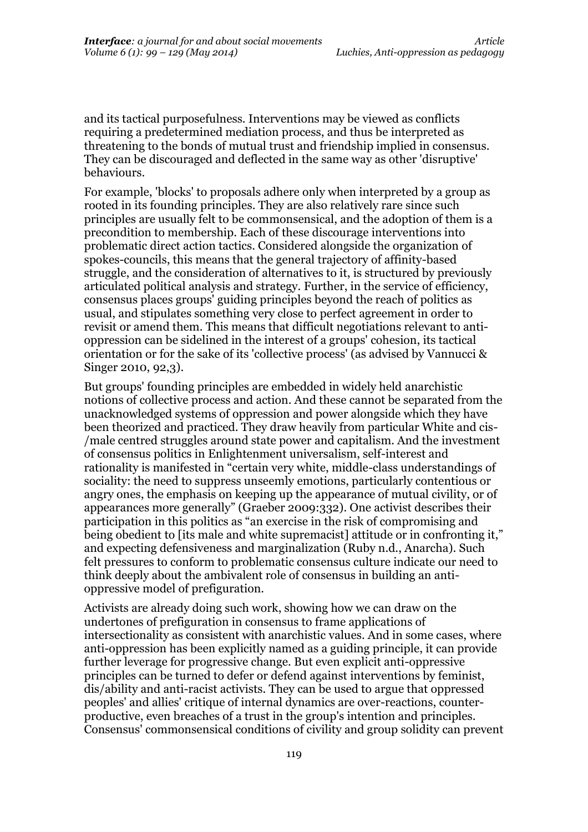and its tactical purposefulness. Interventions may be viewed as conflicts requiring a predetermined mediation process, and thus be interpreted as threatening to the bonds of mutual trust and friendship implied in consensus. They can be discouraged and deflected in the same way as other 'disruptive' behaviours.

For example, 'blocks' to proposals adhere only when interpreted by a group as rooted in its founding principles. They are also relatively rare since such principles are usually felt to be commonsensical, and the adoption of them is a precondition to membership. Each of these discourage interventions into problematic direct action tactics. Considered alongside the organization of spokes-councils, this means that the general trajectory of affinity-based struggle, and the consideration of alternatives to it, is structured by previously articulated political analysis and strategy. Further, in the service of efficiency, consensus places groups' guiding principles beyond the reach of politics as usual, and stipulates something very close to perfect agreement in order to revisit or amend them. This means that difficult negotiations relevant to antioppression can be sidelined in the interest of a groups' cohesion, its tactical orientation or for the sake of its 'collective process' (as advised by Vannucci & Singer 2010, 92,3).

But groups' founding principles are embedded in widely held anarchistic notions of collective process and action. And these cannot be separated from the unacknowledged systems of oppression and power alongside which they have been theorized and practiced. They draw heavily from particular White and cis- /male centred struggles around state power and capitalism. And the investment of consensus politics in Enlightenment universalism, self-interest and rationality is manifested in "certain very white, middle-class understandings of sociality: the need to suppress unseemly emotions, particularly contentious or angry ones, the emphasis on keeping up the appearance of mutual civility, or of appearances more generally" (Graeber 2009:332). One activist describes their participation in this politics as "an exercise in the risk of compromising and being obedient to *fits* male and white supremacist attitude or in confronting it," and expecting defensiveness and marginalization (Ruby n.d., Anarcha). Such felt pressures to conform to problematic consensus culture indicate our need to think deeply about the ambivalent role of consensus in building an antioppressive model of prefiguration.

Activists are already doing such work, showing how we can draw on the undertones of prefiguration in consensus to frame applications of intersectionality as consistent with anarchistic values. And in some cases, where anti-oppression has been explicitly named as a guiding principle, it can provide further leverage for progressive change. But even explicit anti-oppressive principles can be turned to defer or defend against interventions by feminist, dis/ability and anti-racist activists. They can be used to argue that oppressed peoples' and allies' critique of internal dynamics are over-reactions, counterproductive, even breaches of a trust in the group's intention and principles. Consensus' commonsensical conditions of civility and group solidity can prevent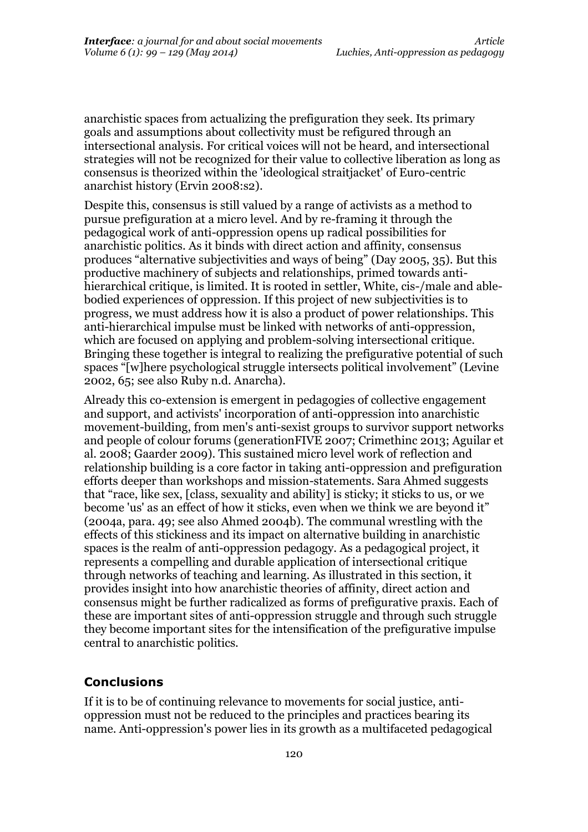anarchistic spaces from actualizing the prefiguration they seek. Its primary goals and assumptions about collectivity must be refigured through an intersectional analysis. For critical voices will not be heard, and intersectional strategies will not be recognized for their value to collective liberation as long as consensus is theorized within the 'ideological straitjacket' of Euro-centric anarchist history (Ervin 2008:s2).

Despite this, consensus is still valued by a range of activists as a method to pursue prefiguration at a micro level. And by re-framing it through the pedagogical work of anti-oppression opens up radical possibilities for anarchistic politics. As it binds with direct action and affinity, consensus produces "alternative subjectivities and ways of being" (Day 2005, 35). But this productive machinery of subjects and relationships, primed towards antihierarchical critique, is limited. It is rooted in settler, White, cis-/male and ablebodied experiences of oppression. If this project of new subjectivities is to progress, we must address how it is also a product of power relationships. This anti-hierarchical impulse must be linked with networks of anti-oppression, which are focused on applying and problem-solving intersectional critique. Bringing these together is integral to realizing the prefigurative potential of such spaces "[w]here psychological struggle intersects political involvement" (Levine 2002, 65; see also Ruby n.d. Anarcha).

Already this co-extension is emergent in pedagogies of collective engagement and support, and activists' incorporation of anti-oppression into anarchistic movement-building, from men's anti-sexist groups to survivor support networks and people of colour forums (generationFIVE 2007; Crimethinc 2013; Aguilar et al. 2008; Gaarder 2009). This sustained micro level work of reflection and relationship building is a core factor in taking anti-oppression and prefiguration efforts deeper than workshops and mission-statements. Sara Ahmed suggests that "race, like sex, [class, sexuality and ability] is sticky; it sticks to us, or we become 'us' as an effect of how it sticks, even when we think we are beyond it" (2004a, para. 49; see also Ahmed 2004b). The communal wrestling with the effects of this stickiness and its impact on alternative building in anarchistic spaces is the realm of anti-oppression pedagogy. As a pedagogical project, it represents a compelling and durable application of intersectional critique through networks of teaching and learning. As illustrated in this section, it provides insight into how anarchistic theories of affinity, direct action and consensus might be further radicalized as forms of prefigurative praxis. Each of these are important sites of anti-oppression struggle and through such struggle they become important sites for the intensification of the prefigurative impulse central to anarchistic politics.

#### **Conclusions**

If it is to be of continuing relevance to movements for social justice, antioppression must not be reduced to the principles and practices bearing its name. Anti-oppression's power lies in its growth as a multifaceted pedagogical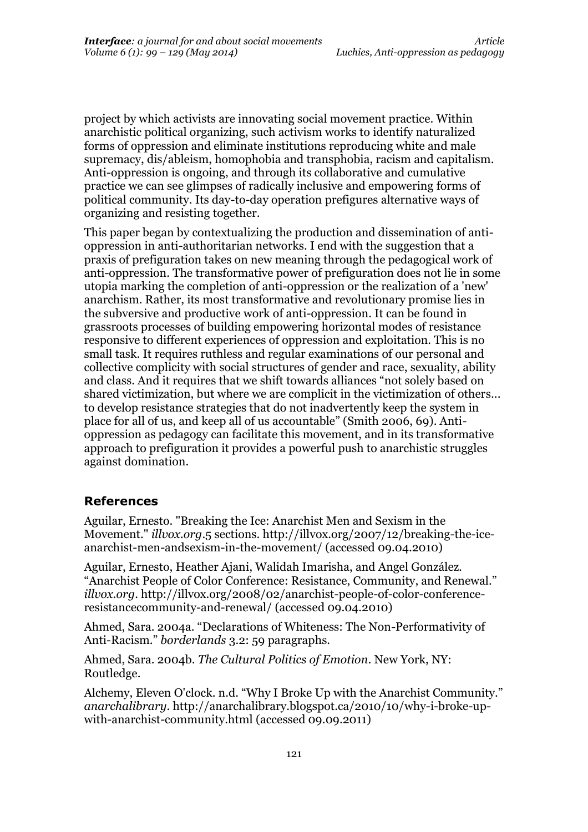project by which activists are innovating social movement practice. Within anarchistic political organizing, such activism works to identify naturalized forms of oppression and eliminate institutions reproducing white and male supremacy, dis/ableism, homophobia and transphobia, racism and capitalism. Anti-oppression is ongoing, and through its collaborative and cumulative practice we can see glimpses of radically inclusive and empowering forms of political community. Its day-to-day operation prefigures alternative ways of organizing and resisting together.

This paper began by contextualizing the production and dissemination of antioppression in anti-authoritarian networks. I end with the suggestion that a praxis of prefiguration takes on new meaning through the pedagogical work of anti-oppression. The transformative power of prefiguration does not lie in some utopia marking the completion of anti-oppression or the realization of a 'new' anarchism. Rather, its most transformative and revolutionary promise lies in the subversive and productive work of anti-oppression. It can be found in grassroots processes of building empowering horizontal modes of resistance responsive to different experiences of oppression and exploitation. This is no small task. It requires ruthless and regular examinations of our personal and collective complicity with social structures of gender and race, sexuality, ability and class. And it requires that we shift towards alliances "not solely based on shared victimization, but where we are complicit in the victimization of others... to develop resistance strategies that do not inadvertently keep the system in place for all of us, and keep all of us accountable" (Smith 2006, 69). Antioppression as pedagogy can facilitate this movement, and in its transformative approach to prefiguration it provides a powerful push to anarchistic struggles against domination.

#### **References**

Aguilar, Ernesto. "Breaking the Ice: Anarchist Men and Sexism in the Movement." *illvox.org*.5 sections. http://illvox.org/2007/12/breaking-the-iceanarchist-men-andsexism-in-the-movement/ (accessed 09.04.2010)

Aguilar, Ernesto, Heather Ajani, Walidah Imarisha, and Angel González. "Anarchist People of Color Conference: Resistance, Community, and Renewal." *illvox.org*. http://illvox.org/2008/02/anarchist-people-of-color-conferenceresistancecommunity-and-renewal/ (accessed 09.04.2010)

Ahmed, Sara. 2004a. "Declarations of Whiteness: The Non-Performativity of Anti-Racism." *borderlands* 3.2: 59 paragraphs.

Ahmed, Sara. 2004b. *The Cultural Politics of Emotion*. New York, NY: Routledge.

Alchemy, Eleven O'clock. n.d. "Why I Broke Up with the Anarchist Community." *anarchalibrary*. http://anarchalibrary.blogspot.ca/2010/10/why-i-broke-upwith-anarchist-community.html (accessed 09.09.2011)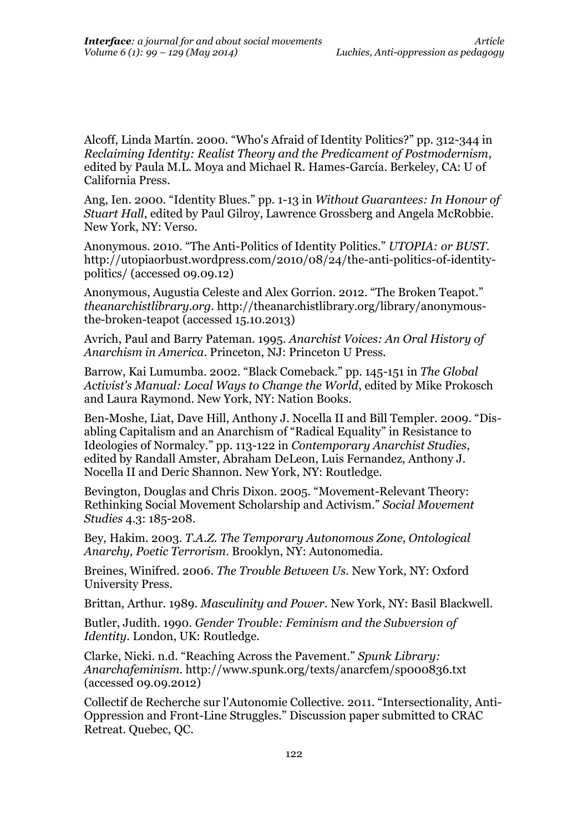Alcoff, Linda Martín. 2000. "Who's Afraid of Identity Politics?" pp. 312-344 in *Reclaiming Identity: Realist Theory and the Predicament of Postmodernism*, edited by Paula M.L. Moya and Michael R. Hames-García. Berkeley, CA: U of California Press.

Ang, Ien. 2000. "Identity Blues." pp. 1-13 in *Without Guarantees: In Honour of Stuart Hall*, edited by Paul Gilroy, Lawrence Grossberg and Angela McRobbie. New York, NY: Verso.

Anonymous. 2010. "The Anti-Politics of Identity Politics." *UTOPIA: or BUST*. http://utopiaorbust.wordpress.com/2010/08/24/the-anti-politics-of-identitypolitics/ (accessed 09.09.12)

Anonymous, Augustia Celeste and Alex Gorrion. 2012. "The Broken Teapot." *theanarchistlibrary.org*. http://theanarchistlibrary.org/library/anonymousthe-broken-teapot (accessed 15.10.2013)

Avrich, Paul and Barry Pateman. 1995. *Anarchist Voices: An Oral History of Anarchism in America*. Princeton, NJ: Princeton U Press.

Barrow, Kai Lumumba. 2002. "Black Comeback." pp. 145-151 in *The Global Activist's Manual: Local Ways to Change the World*, edited by Mike Prokosch and Laura Raymond. New York, NY: Nation Books.

Ben-Moshe, Liat, Dave Hill, Anthony J. Nocella II and Bill Templer. 2009. "Disabling Capitalism and an Anarchism of "Radical Equality" in Resistance to Ideologies of Normalcy." pp. 113-122 in *Contemporary Anarchist Studies*, edited by Randall Amster, Abraham DeLeon, Luis Fernandez, Anthony J. Nocella II and Deric Shannon. New York, NY: Routledge.

Bevington, Douglas and Chris Dixon. 2005. "Movement-Relevant Theory: Rethinking Social Movement Scholarship and Activism." *Social Movement Studies* 4.3: 185-208.

Bey, Hakim. 2003. *T.A.Z. The Temporary Autonomous Zone, Ontological Anarchy, Poetic Terrorism*. Brooklyn, NY: Autonomedia.

Breines, Winifred. 2006. *The Trouble Between Us.* New York, NY: Oxford University Press.

Brittan, Arthur. 1989. *Masculinity and Power*. New York, NY: Basil Blackwell.

Butler, Judith. 1990. *Gender Trouble: Feminism and the Subversion of Identity*. London, UK: Routledge.

Clarke, Nicki. n.d. "Reaching Across the Pavement." *Spunk Library: Anarchafeminism*. http://www.spunk.org/texts/anarcfem/sp000836.txt (accessed 09.09.2012)

Collectif de Recherche sur l'Autonomie Collective. 2011. "Intersectionality, Anti-Oppression and Front-Line Struggles." Discussion paper submitted to CRAC Retreat. Quebec, QC.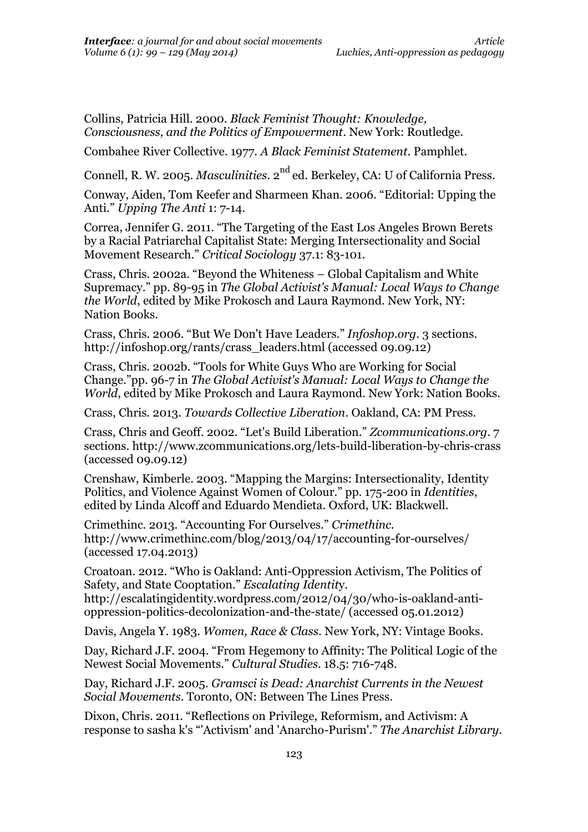Collins, Patricia Hill. 2000. *Black Feminist Thought: Knowledge, Consciousness, and the Politics of Empowerment*. New York: Routledge.

Combahee River Collective. 1977. *A Black Feminist Statement*. Pamphlet.

Connell, R. W. 2005. *Masculinities*. 2<sup>nd</sup> ed. Berkeley, CA: U of California Press.

Conway, Aiden, Tom Keefer and Sharmeen Khan. 2006. "Editorial: Upping the Anti." *Upping The Anti* 1: 7-14.

Correa, Jennifer G. 2011. "The Targeting of the East Los Angeles Brown Berets by a Racial Patriarchal Capitalist State: Merging Intersectionality and Social Movement Research." *Critical Sociology* 37.1: 83-101.

Crass, Chris. 2002a. "Beyond the Whiteness – Global Capitalism and White Supremacy." pp. 89-95 in *The Global Activist's Manual: Local Ways to Change the World*, edited by Mike Prokosch and Laura Raymond. New York, NY: Nation Books.

Crass, Chris. 2006. "But We Don't Have Leaders." *Infoshop.org*. 3 sections. http://infoshop.org/rants/crass\_leaders.html (accessed 09.09.12)

Crass, Chris. 2002b. "Tools for White Guys Who are Working for Social Change."pp. 96-7 in *The Global Activist's Manual: Local Ways to Change the World*, edited by Mike Prokosch and Laura Raymond. New York: Nation Books.

Crass, Chris. 2013. *Towards Collective Liberation*. Oakland, CA: PM Press.

Crass, Chris and Geoff. 2002. "Let's Build Liberation." *Zcommunications.org*. 7 sections. http://www.zcommunications.org/lets-build-liberation-by-chris-crass (accessed 09.09.12)

Crenshaw, Kimberle. 2003. "Mapping the Margins: Intersectionality, Identity Politics, and Violence Against Women of Colour." pp. 175-200 in *Identities*, edited by Linda Alcoff and Eduardo Mendieta. Oxford, UK: Blackwell.

Crimethinc. 2013. "Accounting For Ourselves." *Crimethinc*. http://www.crimethinc.com/blog/2013/04/17/accounting-for-ourselves/ (accessed 17.04.2013)

Croatoan. 2012. "Who is Oakland: Anti-Oppression Activism, The Politics of Safety, and State Cooptation." *Escalating Identit*y.

http://escalatingidentity.wordpress.com/2012/04/30/who-is-oakland-antioppression-politics-decolonization-and-the-state/ (accessed 05.01.2012)

Davis, Angela Y. 1983. *Women, Race & Class*. New York, NY: Vintage Books.

Day, Richard J.F. 2004. "From Hegemony to Affinity: The Political Logic of the Newest Social Movements." *Cultural Studies*. 18.5: 716-748.

Day, Richard J.F. 2005. *Gramsci is Dead: Anarchist Currents in the Newest Social Movements*. Toronto, ON: Between The Lines Press.

Dixon, Chris. 2011. "Reflections on Privilege, Reformism, and Activism: A response to sasha k's "'Activism' and 'Anarcho-Purism'." *The Anarchist Library*.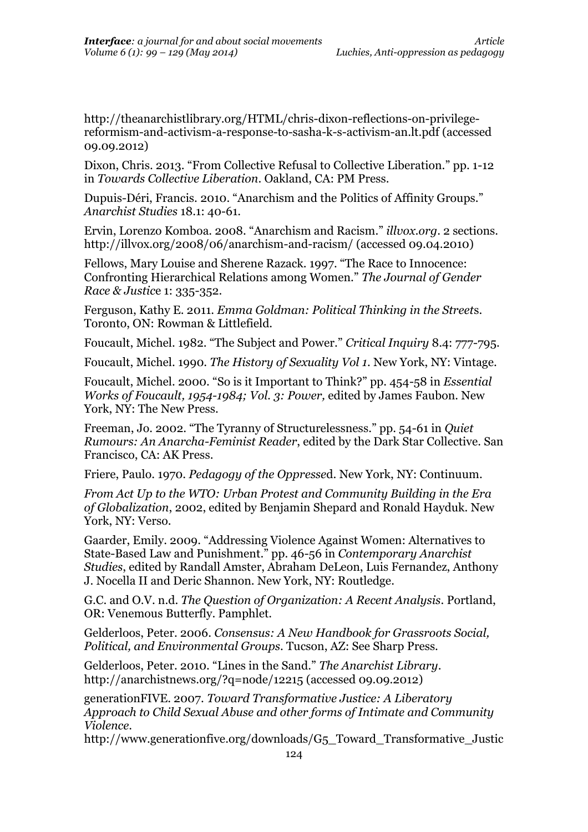http://theanarchistlibrary.org/HTML/chris-dixon-reflections-on-privilegereformism-and-activism-a-response-to-sasha-k-s-activism-an.lt.pdf (accessed 09.09.2012)

Dixon, Chris. 2013. "From Collective Refusal to Collective Liberation." pp. 1-12 in *Towards Collective Liberation*. Oakland, CA: PM Press.

Dupuis-Déri, Francis. 2010. "Anarchism and the Politics of Affinity Groups." *Anarchist Studies* 18.1: 40-61.

Ervin, Lorenzo Komboa. 2008. "Anarchism and Racism." *illvox.org*. 2 sections. http://illvox.org/2008/06/anarchism-and-racism/ (accessed 09.04.2010)

Fellows, Mary Louise and Sherene Razack. 1997. "The Race to Innocence: Confronting Hierarchical Relations among Women." *The Journal of Gender Race & Justic*e 1: 335-352.

Ferguson, Kathy E. 2011. *Emma Goldman: Political Thinking in the Street*s. Toronto, ON: Rowman & Littlefield.

Foucault, Michel. 1982. "The Subject and Power." *Critical Inquiry* 8.4: 777-795.

Foucault, Michel. 1990. *The History of Sexuality Vol 1*. New York, NY: Vintage.

Foucault, Michel. 2000. "So is it Important to Think?" pp. 454-58 in *Essential Works of Foucault, 1954-1984; Vol. 3: Power,* edited by James Faubon. New York, NY: The New Press.

Freeman, Jo. 2002. "The Tyranny of Structurelessness." pp. 54-61 in *Quiet Rumours: An Anarcha-Feminist Reader*, edited by the Dark Star Collective. San Francisco, CA: AK Press.

Friere, Paulo. 1970. *Pedagogy of the Oppresse*d. New York, NY: Continuum.

*From Act Up to the WTO: Urban Protest and Community Building in the Era of Globalization*, 2002, edited by Benjamin Shepard and Ronald Hayduk. New York, NY: Verso.

Gaarder, Emily. 2009. "Addressing Violence Against Women: Alternatives to State-Based Law and Punishment." pp. 46-56 in *Contemporary Anarchist Studies*, edited by Randall Amster, Abraham DeLeon, Luis Fernandez, Anthony J. Nocella II and Deric Shannon. New York, NY: Routledge.

G.C. and O.V. n.d. *The Question of Organization: A Recent Analysis*. Portland, OR: Venemous Butterfly. Pamphlet.

Gelderloos, Peter. 2006. *Consensus: A New Handbook for Grassroots Social, Political, and Environmental Groups*. Tucson, AZ: See Sharp Press.

Gelderloos, Peter. 2010. "Lines in the Sand." *The Anarchist Library*. http://anarchistnews.org/?q=node/12215 (accessed 09.09.2012)

generationFIVE. 2007. *Toward Transformative Justice: A Liberatory Approach to Child Sexual Abuse and other forms of Intimate and Community Violence*.

http://www.generationfive.org/downloads/G5\_Toward\_Transformative\_Justic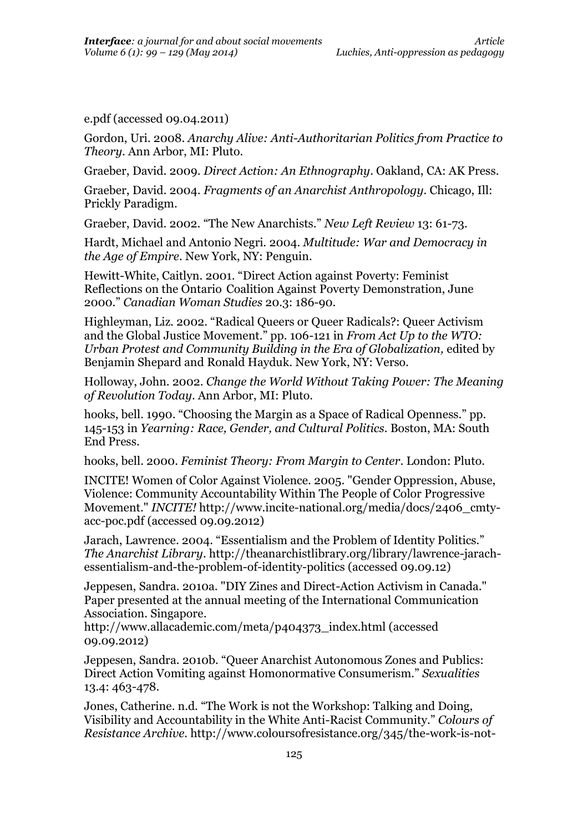e.pdf (accessed 09.04.2011)

Gordon, Uri. 2008. *Anarchy Alive: Anti-Authoritarian Politics from Practice to Theory*. Ann Arbor, MI: Pluto.

Graeber, David. 2009. *Direct Action: An Ethnography*. Oakland, CA: AK Press.

Graeber, David. 2004. *Fragments of an Anarchist Anthropology*. Chicago, Ill: Prickly Paradigm.

Graeber, David. 2002. "The New Anarchists." *New Left Review* 13: 61-73.

Hardt, Michael and Antonio Negri. 2004. *Multitude: War and Democracy in the Age of Empire*. New York, NY: Penguin.

Hewitt-White, Caitlyn. 2001. "Direct Action against Poverty: Feminist Reflections on the Ontario Coalition Against Poverty Demonstration, June 2000." *Canadian Woman Studies* 20.3: 186-90.

Highleyman, Liz. 2002. "Radical Queers or Queer Radicals?: Queer Activism and the Global Justice Movement." pp. 106-121 in *From Act Up to the WTO: Urban Protest and Community Building in the Era of Globalization,* edited by Benjamin Shepard and Ronald Hayduk. New York, NY: Verso.

Holloway, John. 2002. *Change the World Without Taking Power: The Meaning of Revolution Today*. Ann Arbor, MI: Pluto.

hooks, bell. 1990. "Choosing the Margin as a Space of Radical Openness." pp. 145-153 in *Yearning: Race, Gender, and Cultural Politics*. Boston, MA: South End Press.

hooks, bell. 2000. *Feminist Theory: From Margin to Center*. London: Pluto.

INCITE! Women of Color Against Violence. 2005. "Gender Oppression, Abuse, Violence: Community Accountability Within The People of Color Progressive Movement." *INCITE!* http://www.incite-national.org/media/docs/2406\_cmtyacc-poc.pdf (accessed 09.09.2012)

Jarach, Lawrence. 2004. "Essentialism and the Problem of Identity Politics." *The Anarchist Library*. http://theanarchistlibrary.org/library/lawrence-jarachessentialism-and-the-problem-of-identity-politics (accessed 09.09.12)

Jeppesen, Sandra. 2010a. "DIY Zines and Direct-Action Activism in Canada." Paper presented at the annual meeting of the International Communication Association. Singapore.

http://www.allacademic.com/meta/p404373\_index.html (accessed 09.09.2012)

Jeppesen, Sandra. 2010b. "Queer Anarchist Autonomous Zones and Publics: Direct Action Vomiting against Homonormative Consumerism." *Sexualities* 13.4: 463-478.

Jones, Catherine. n.d. "The Work is not the Workshop: Talking and Doing, Visibility and Accountability in the White Anti-Racist Community." *Colours of Resistance Archive*. http://www.coloursofresistance.org/345/the-work-is-not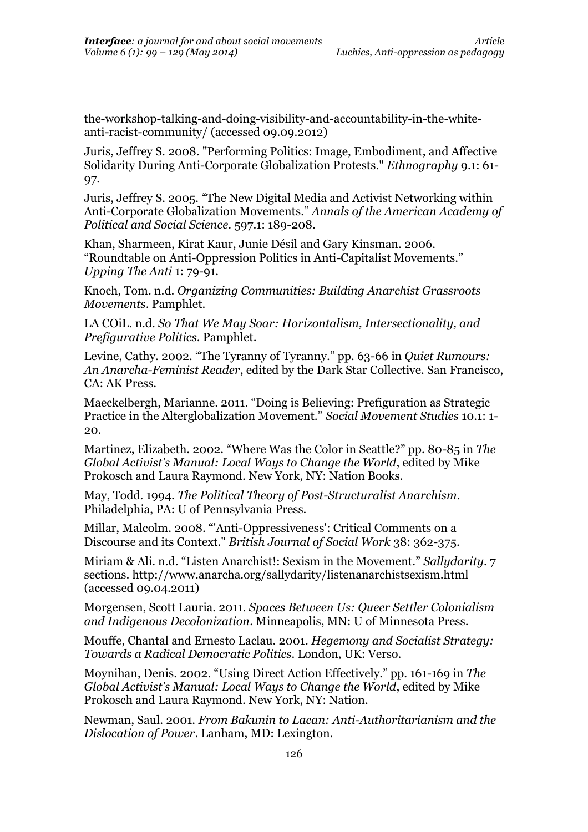the-workshop-talking-and-doing-visibility-and-accountability-in-the-whiteanti-racist-community/ (accessed 09.09.2012)

Juris, Jeffrey S. 2008. "Performing Politics: Image, Embodiment, and Affective Solidarity During Anti-Corporate Globalization Protests." *Ethnography* 9.1: 61- 97.

Juris, Jeffrey S. 2005. "The New Digital Media and Activist Networking within Anti-Corporate Globalization Movements." *Annals of the American Academy of Political and Social Science*. 597.1: 189-208.

Khan, Sharmeen, Kirat Kaur, Junie Désil and Gary Kinsman. 2006. "Roundtable on Anti-Oppression Politics in Anti-Capitalist Movements." *Upping The Anti* 1: 79-91.

Knoch, Tom. n.d. *Organizing Communities: Building Anarchist Grassroots Movements*. Pamphlet.

LA COiL. n.d. *So That We May Soar: Horizontalism, Intersectionality, and Prefigurative Politics*. Pamphlet.

Levine, Cathy. 2002. "The Tyranny of Tyranny." pp. 63-66 in *Quiet Rumours: An Anarcha-Feminist Reader*, edited by the Dark Star Collective. San Francisco, CA: AK Press.

Maeckelbergh, Marianne. 2011. "Doing is Believing: Prefiguration as Strategic Practice in the Alterglobalization Movement." *Social Movement Studies* 10.1: 1- 20.

Martinez, Elizabeth. 2002. "Where Was the Color in Seattle?" pp. 80-85 in *The Global Activist's Manual: Local Ways to Change the World*, edited by Mike Prokosch and Laura Raymond. New York, NY: Nation Books.

May, Todd. 1994. *The Political Theory of Post-Structuralist Anarchism*. Philadelphia, PA: U of Pennsylvania Press.

Millar, Malcolm. 2008. "'Anti-Oppressiveness': Critical Comments on a Discourse and its Context." *British Journal of Social Work* 38: 362-375.

Miriam & Ali. n.d. "Listen Anarchist!: Sexism in the Movement." *Sallydarity*. 7 sections. http://www.anarcha.org/sallydarity/listenanarchistsexism.html (accessed 09.04.2011)

Morgensen, Scott Lauria. 2011. *Spaces Between Us: Queer Settler Colonialism and Indigenous Decolonization*. Minneapolis, MN: U of Minnesota Press.

Mouffe, Chantal and Ernesto Laclau. 2001. *Hegemony and Socialist Strategy: Towards a Radical Democratic Politics*. London, UK: Verso.

Moynihan, Denis. 2002. "Using Direct Action Effectively." pp. 161-169 in *The Global Activist's Manual: Local Ways to Change the World*, edited by Mike Prokosch and Laura Raymond. New York, NY: Nation.

Newman, Saul. 2001. *From Bakunin to Lacan: Anti-Authoritarianism and the Dislocation of Power*. Lanham, MD: Lexington.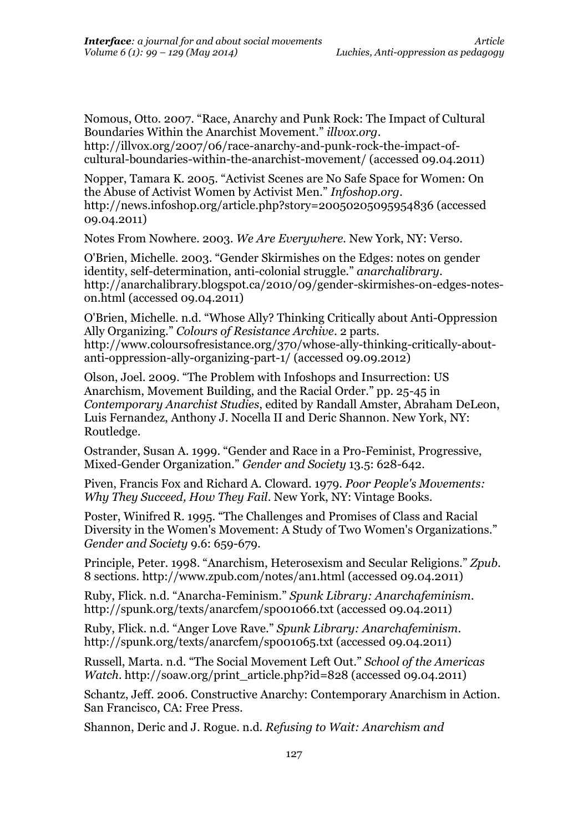Nomous, Otto. 2007. "Race, Anarchy and Punk Rock: The Impact of Cultural Boundaries Within the Anarchist Movement." *illvox.org*.

http://illvox.org/2007/06/race-anarchy-and-punk-rock-the-impact-ofcultural-boundaries-within-the-anarchist-movement/ (accessed 09.04.2011)

Nopper, Tamara K. 2005. "Activist Scenes are No Safe Space for Women: On the Abuse of Activist Women by Activist Men." *Infoshop.org*. http://news.infoshop.org/article.php?story=20050205095954836 (accessed 09.04.2011)

Notes From Nowhere. 2003. *We Are Everywhere.* New York, NY: Verso.

O'Brien, Michelle. 2003. "Gender Skirmishes on the Edges: notes on gender identity, self-determination, anti-colonial struggle." *anarchalibrary*. http://anarchalibrary.blogspot.ca/2010/09/gender-skirmishes-on-edges-noteson.html (accessed 09.04.2011)

O'Brien, Michelle. n.d. "Whose Ally? Thinking Critically about Anti-Oppression Ally Organizing." *Colours of Resistance Archive*. 2 parts. http://www.coloursofresistance.org/370/whose-ally-thinking-critically-aboutanti-oppression-ally-organizing-part-1/ (accessed 09.09.2012)

Olson, Joel. 2009. "The Problem with Infoshops and Insurrection: US Anarchism, Movement Building, and the Racial Order." pp. 25-45 in *Contemporary Anarchist Studies*, edited by Randall Amster, Abraham DeLeon, Luis Fernandez, Anthony J. Nocella II and Deric Shannon. New York, NY: Routledge.

Ostrander, Susan A. 1999. "Gender and Race in a Pro-Feminist, Progressive, Mixed-Gender Organization." *Gender and Society* 13.5: 628-642.

Piven, Francis Fox and Richard A. Cloward. 1979. *Poor People's Movements: Why They Succeed, How They Fail*. New York, NY: Vintage Books.

Poster, Winifred R. 1995. "The Challenges and Promises of Class and Racial Diversity in the Women's Movement: A Study of Two Women's Organizations." *Gender and Society* 9.6: 659-679.

Principle, Peter. 1998. "Anarchism, Heterosexism and Secular Religions." *Zpub*. 8 sections. http://www.zpub.com/notes/an1.html (accessed 09.04.2011)

Ruby, Flick. n.d. "Anarcha-Feminism." *Spunk Library: Anarchafeminism*. http://spunk.org/texts/anarcfem/sp001066.txt (accessed 09.04.2011)

Ruby, Flick. n.d. "Anger Love Rave." *Spunk Library: Anarchafeminism*. http://spunk.org/texts/anarcfem/sp001065.txt (accessed 09.04.2011)

Russell, Marta. n.d. "The Social Movement Left Out." *School of the Americas Watch.* http://soaw.org/print\_article.php?id=828 (accessed 09.04.2011)

Schantz, Jeff. 2006. Constructive Anarchy: Contemporary Anarchism in Action. San Francisco, CA: Free Press.

Shannon, Deric and J. Rogue. n.d. *Refusing to Wait: Anarchism and*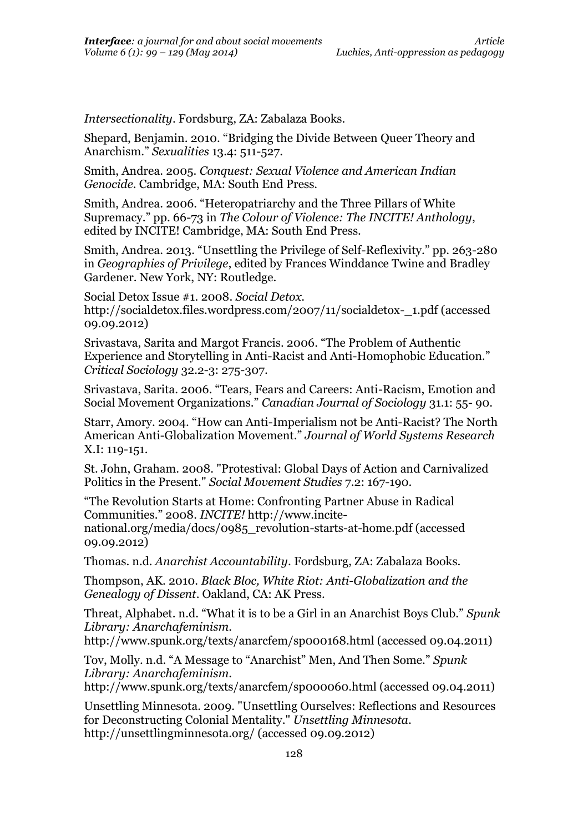*Intersectionality*. Fordsburg, ZA: Zabalaza Books.

Shepard, Benjamin. 2010. "Bridging the Divide Between Queer Theory and Anarchism." *Sexualities* 13.4: 511-527.

Smith, Andrea. 2005. *Conquest: Sexual Violence and American Indian Genocide*. Cambridge, MA: South End Press.

Smith, Andrea. 2006. "Heteropatriarchy and the Three Pillars of White Supremacy." pp. 66-73 in *The Colour of Violence: The INCITE! Anthology*, edited by INCITE! Cambridge, MA: South End Press.

Smith, Andrea. 2013. "Unsettling the Privilege of Self-Reflexivity." pp. 263-280 in *Geographies of Privilege*, edited by Frances Winddance Twine and Bradley Gardener. New York, NY: Routledge.

Social Detox Issue #1. 2008. *Social Detox*. http://socialdetox.files.wordpress.com/2007/11/socialdetox-\_1.pdf (accessed 09.09.2012)

Srivastava, Sarita and Margot Francis. 2006. "The Problem of Authentic Experience and Storytelling in Anti-Racist and Anti-Homophobic Education." *Critical Sociology* 32.2-3: 275-307.

Srivastava, Sarita. 2006. "Tears, Fears and Careers: Anti-Racism, Emotion and Social Movement Organizations." *Canadian Journal of Sociology* 31.1: 55- 90.

Starr, Amory. 2004. "How can Anti-Imperialism not be Anti-Racist? The North American Anti-Globalization Movement." *Journal of World Systems Research* X.I: 119-151.

St. John, Graham. 2008. "Protestival: Global Days of Action and Carnivalized Politics in the Present." *Social Movement Studies* 7.2: 167-190.

"The Revolution Starts at Home: Confronting Partner Abuse in Radical Communities." 2008. *INCITE!* http://www.incitenational.org/media/docs/0985\_revolution-starts-at-home.pdf (accessed 09.09.2012)

Thomas. n.d. *Anarchist Accountability*. Fordsburg, ZA: Zabalaza Books.

Thompson, AK. 2010. *Black Bloc, White Riot: Anti-Globalization and the Genealogy of Dissent*. Oakland, CA: AK Press.

Threat, Alphabet. n.d. "What it is to be a Girl in an Anarchist Boys Club." *Spunk Library: Anarchafeminism*.

http://www.spunk.org/texts/anarcfem/sp000168.html (accessed 09.04.2011)

Tov, Molly. n.d. "A Message to "Anarchist" Men, And Then Some." *Spunk Library: Anarchafeminism*.

http://www.spunk.org/texts/anarcfem/sp000060.html (accessed 09.04.2011)

Unsettling Minnesota. 2009. "Unsettling Ourselves: Reflections and Resources for Deconstructing Colonial Mentality." *Unsettling Minnesota*. http://unsettlingminnesota.org/ (accessed 09.09.2012)